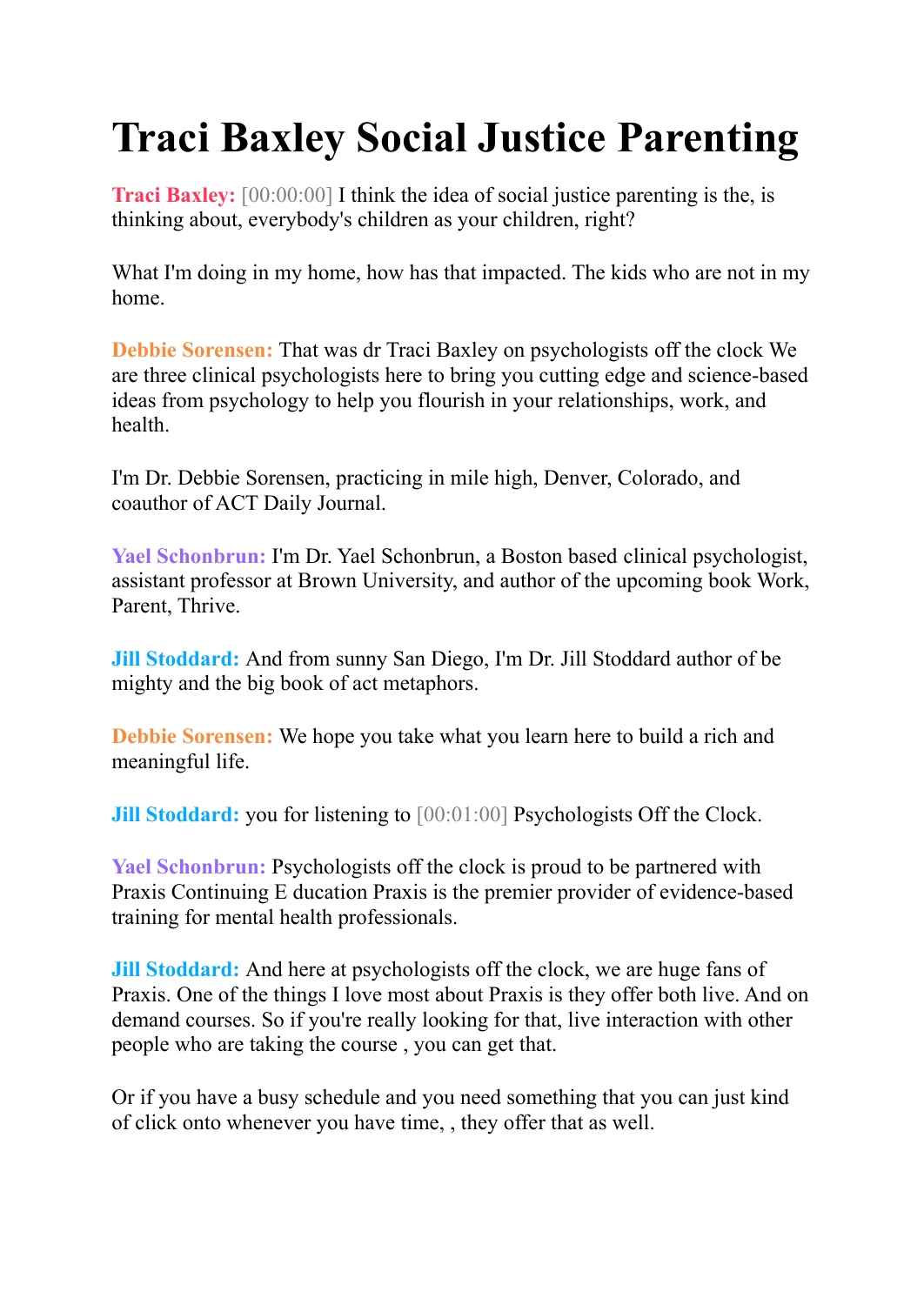## **Traci Baxley Social Justice Parenting**

**Traci Baxley:**  $[00:00:00]$  I think the idea of social justice parenting is the, is thinking about, everybody's children as your children, right?

What I'm doing in my home, how has that impacted. The kids who are not in my home.

**Debbie Sorensen:** That was dr Traci Baxley on psychologists off the clock We are three clinical psychologists here to bring you cutting edge and science-based ideas from psychology to help you flourish in your relationships, work, and health.

I'm Dr. Debbie Sorensen, practicing in mile high, Denver, Colorado, and coauthor of ACT Daily Journal.

**Yael Schonbrun:** I'm Dr. Yael Schonbrun, a Boston based clinical psychologist, assistant professor at Brown University, and author of the upcoming book Work, Parent, Thrive.

**Jill Stoddard:** And from sunny San Diego, I'm Dr. Jill Stoddard author of be mighty and the big book of act metaphors.

**Debbie Sorensen:** We hope you take what you learn here to build a rich and meaningful life.

**Jill Stoddard:** you for listening to [00:01:00] Psychologists Off the Clock.

**Yael Schonbrun:** Psychologists off the clock is proud to be partnered with Praxis Continuing E ducation Praxis is the premier provider of evidence-based training for mental health professionals.

**Jill Stoddard:** And here at psychologists off the clock, we are huge fans of Praxis. One of the things I love most about Praxis is they offer both live. And on demand courses. So if you're really looking for that, live interaction with other people who are taking the course , you can get that.

Or if you have a busy schedule and you need something that you can just kind of click onto whenever you have time, , they offer that as well.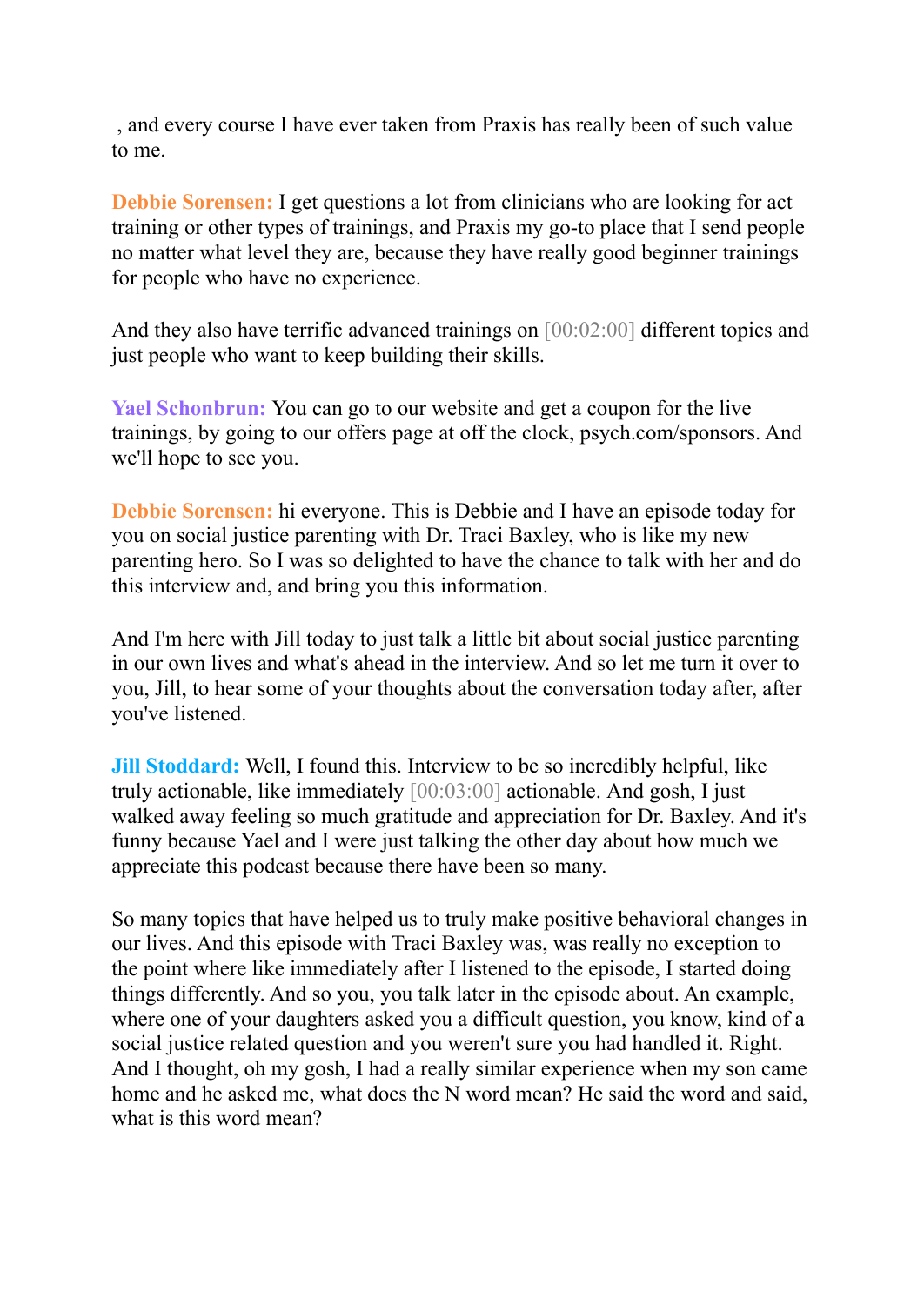, and every course I have ever taken from Praxis has really been of such value to me.

**Debbie Sorensen:** I get questions a lot from clinicians who are looking for act training or other types of trainings, and Praxis my go-to place that I send people no matter what level they are, because they have really good beginner trainings for people who have no experience.

And they also have terrific advanced trainings on  $[00:02:00]$  different topics and just people who want to keep building their skills.

**Yael Schonbrun:** You can go to our website and get a coupon for the live trainings, by going to our offers page at off the clock, psych.com/sponsors. And we'll hope to see you.

**Debbie Sorensen:** hi everyone. This is Debbie and I have an episode today for you on social justice parenting with Dr. Traci Baxley, who is like my new parenting hero. So I was so delighted to have the chance to talk with her and do this interview and, and bring you this information.

And I'm here with Jill today to just talk a little bit about social justice parenting in our own lives and what's ahead in the interview. And so let me turn it over to you, Jill, to hear some of your thoughts about the conversation today after, after you've listened.

**Jill Stoddard:** Well, I found this. Interview to be so incredibly helpful, like truly actionable, like immediately [00:03:00] actionable. And gosh, I just walked away feeling so much gratitude and appreciation for Dr. Baxley. And it's funny because Yael and I were just talking the other day about how much we appreciate this podcast because there have been so many.

So many topics that have helped us to truly make positive behavioral changes in our lives. And this episode with Traci Baxley was, was really no exception to the point where like immediately after I listened to the episode, I started doing things differently. And so you, you talk later in the episode about. An example, where one of your daughters asked you a difficult question, you know, kind of a social justice related question and you weren't sure you had handled it. Right. And I thought, oh my gosh, I had a really similar experience when my son came home and he asked me, what does the N word mean? He said the word and said, what is this word mean?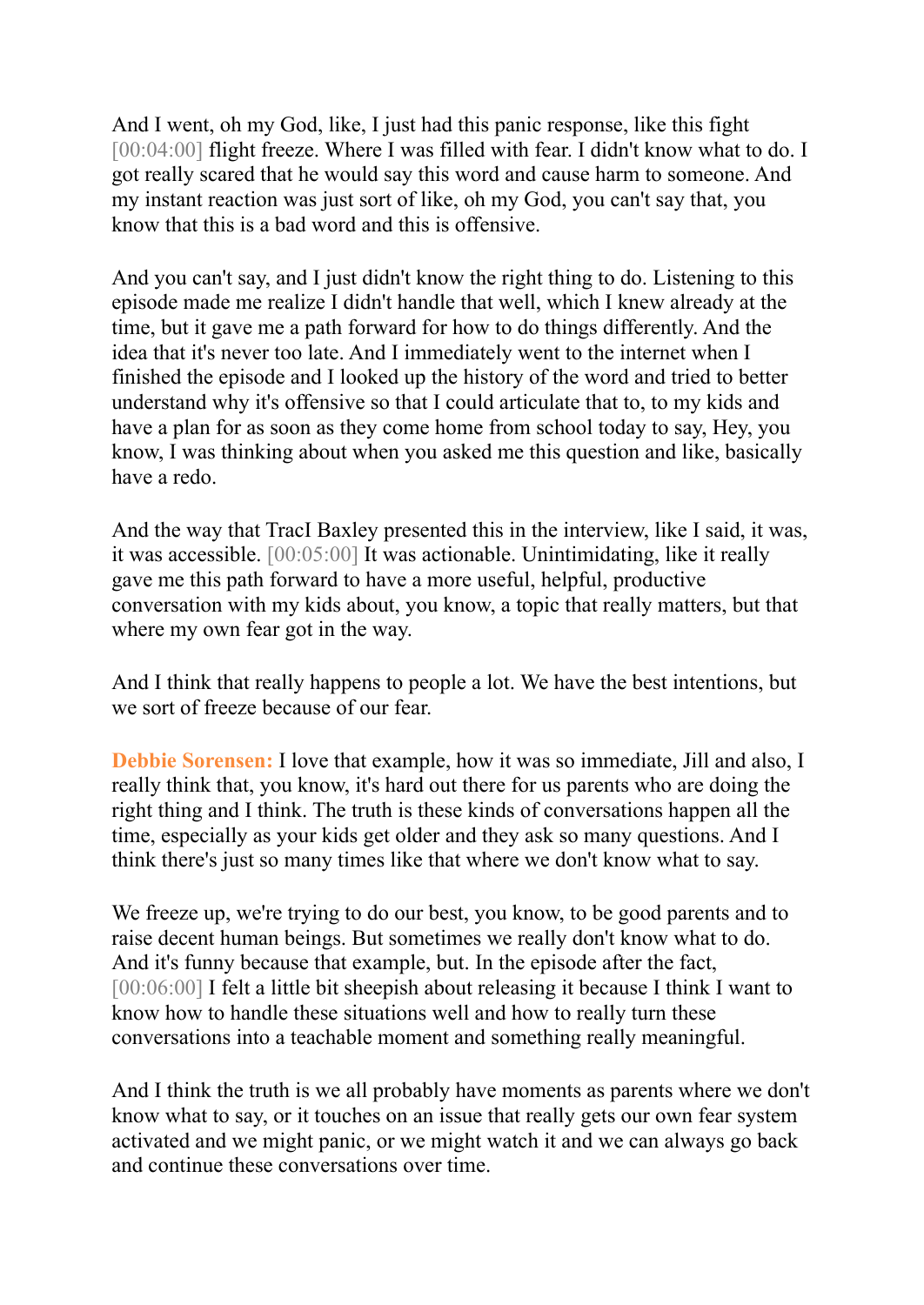And I went, oh my God, like, I just had this panic response, like this fight [00:04:00] flight freeze. Where I was filled with fear. I didn't know what to do. I got really scared that he would say this word and cause harm to someone. And my instant reaction was just sort of like, oh my God, you can't say that, you know that this is a bad word and this is offensive.

And you can't say, and I just didn't know the right thing to do. Listening to this episode made me realize I didn't handle that well, which I knew already at the time, but it gave me a path forward for how to do things differently. And the idea that it's never too late. And I immediately went to the internet when I finished the episode and I looked up the history of the word and tried to better understand why it's offensive so that I could articulate that to, to my kids and have a plan for as soon as they come home from school today to say, Hey, you know, I was thinking about when you asked me this question and like, basically have a redo.

And the way that TracI Baxley presented this in the interview, like I said, it was, it was accessible. [00:05:00] It was actionable. Unintimidating, like it really gave me this path forward to have a more useful, helpful, productive conversation with my kids about, you know, a topic that really matters, but that where my own fear got in the way.

And I think that really happens to people a lot. We have the best intentions, but we sort of freeze because of our fear.

**Debbie Sorensen:** I love that example, how it was so immediate, Jill and also, I really think that, you know, it's hard out there for us parents who are doing the right thing and I think. The truth is these kinds of conversations happen all the time, especially as your kids get older and they ask so many questions. And I think there's just so many times like that where we don't know what to say.

We freeze up, we're trying to do our best, you know, to be good parents and to raise decent human beings. But sometimes we really don't know what to do. And it's funny because that example, but. In the episode after the fact, [00:06:00] I felt a little bit sheepish about releasing it because I think I want to know how to handle these situations well and how to really turn these conversations into a teachable moment and something really meaningful.

And I think the truth is we all probably have moments as parents where we don't know what to say, or it touches on an issue that really gets our own fear system activated and we might panic, or we might watch it and we can always go back and continue these conversations over time.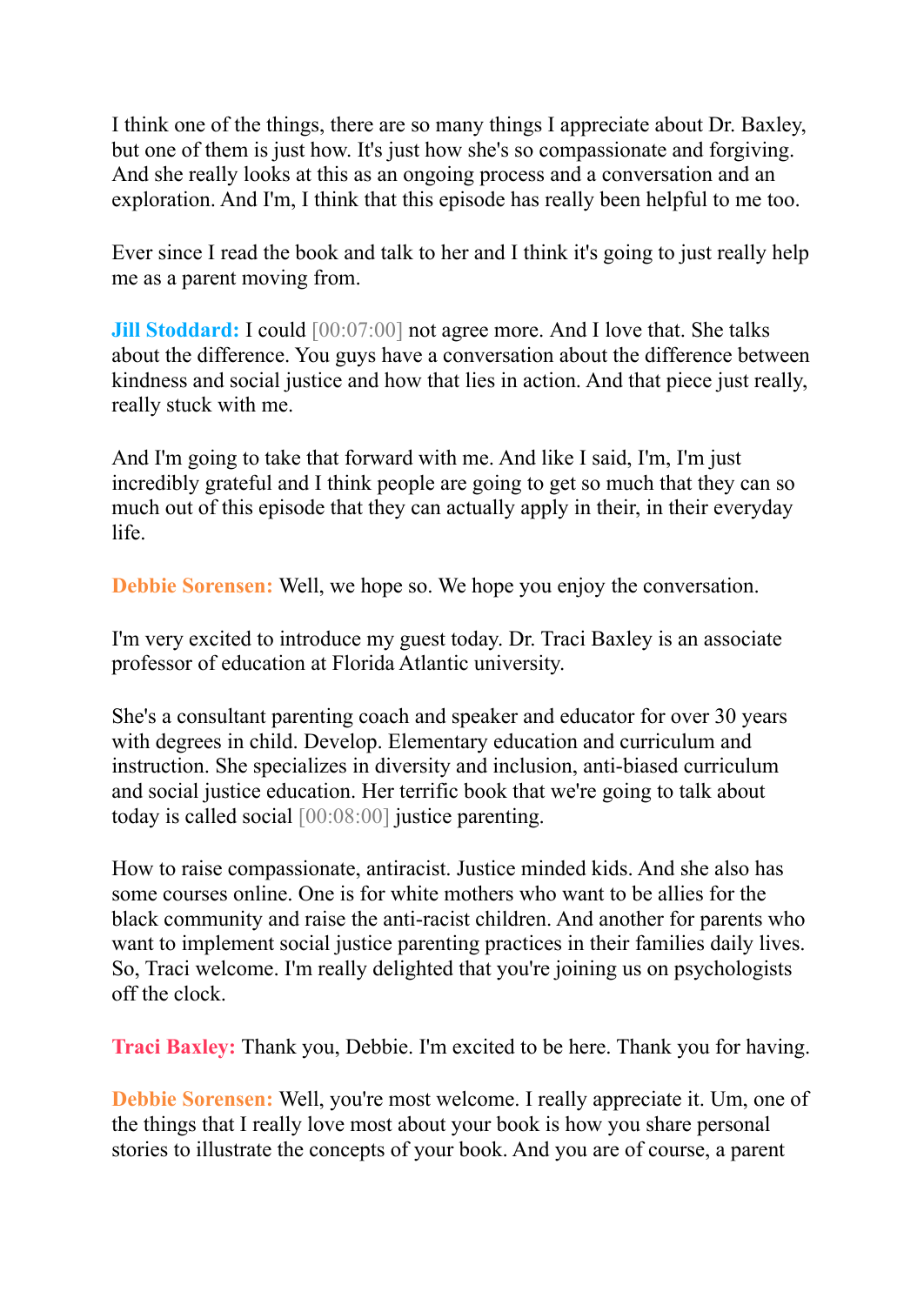I think one of the things, there are so many things I appreciate about Dr. Baxley, but one of them is just how. It's just how she's so compassionate and forgiving. And she really looks at this as an ongoing process and a conversation and an exploration. And I'm, I think that this episode has really been helpful to me too.

Ever since I read the book and talk to her and I think it's going to just really help me as a parent moving from.

**Jill Stoddard:** I could  $[00:07:00]$  not agree more. And I love that. She talks about the difference. You guys have a conversation about the difference between kindness and social justice and how that lies in action. And that piece just really, really stuck with me.

And I'm going to take that forward with me. And like I said, I'm, I'm just incredibly grateful and I think people are going to get so much that they can so much out of this episode that they can actually apply in their, in their everyday life.

**Debbie Sorensen:** Well, we hope so. We hope you enjoy the conversation.

I'm very excited to introduce my guest today. Dr. Traci Baxley is an associate professor of education at Florida Atlantic university.

She's a consultant parenting coach and speaker and educator for over 30 years with degrees in child. Develop. Elementary education and curriculum and instruction. She specializes in diversity and inclusion, anti-biased curriculum and social justice education. Her terrific book that we're going to talk about today is called social [00:08:00] justice parenting.

How to raise compassionate, antiracist. Justice minded kids. And she also has some courses online. One is for white mothers who want to be allies for the black community and raise the anti-racist children. And another for parents who want to implement social justice parenting practices in their families daily lives. So, Traci welcome. I'm really delighted that you're joining us on psychologists off the clock.

**Traci Baxley:** Thank you, Debbie. I'm excited to be here. Thank you for having.

**Debbie Sorensen:** Well, you're most welcome. I really appreciate it. Um, one of the things that I really love most about your book is how you share personal stories to illustrate the concepts of your book. And you are of course, a parent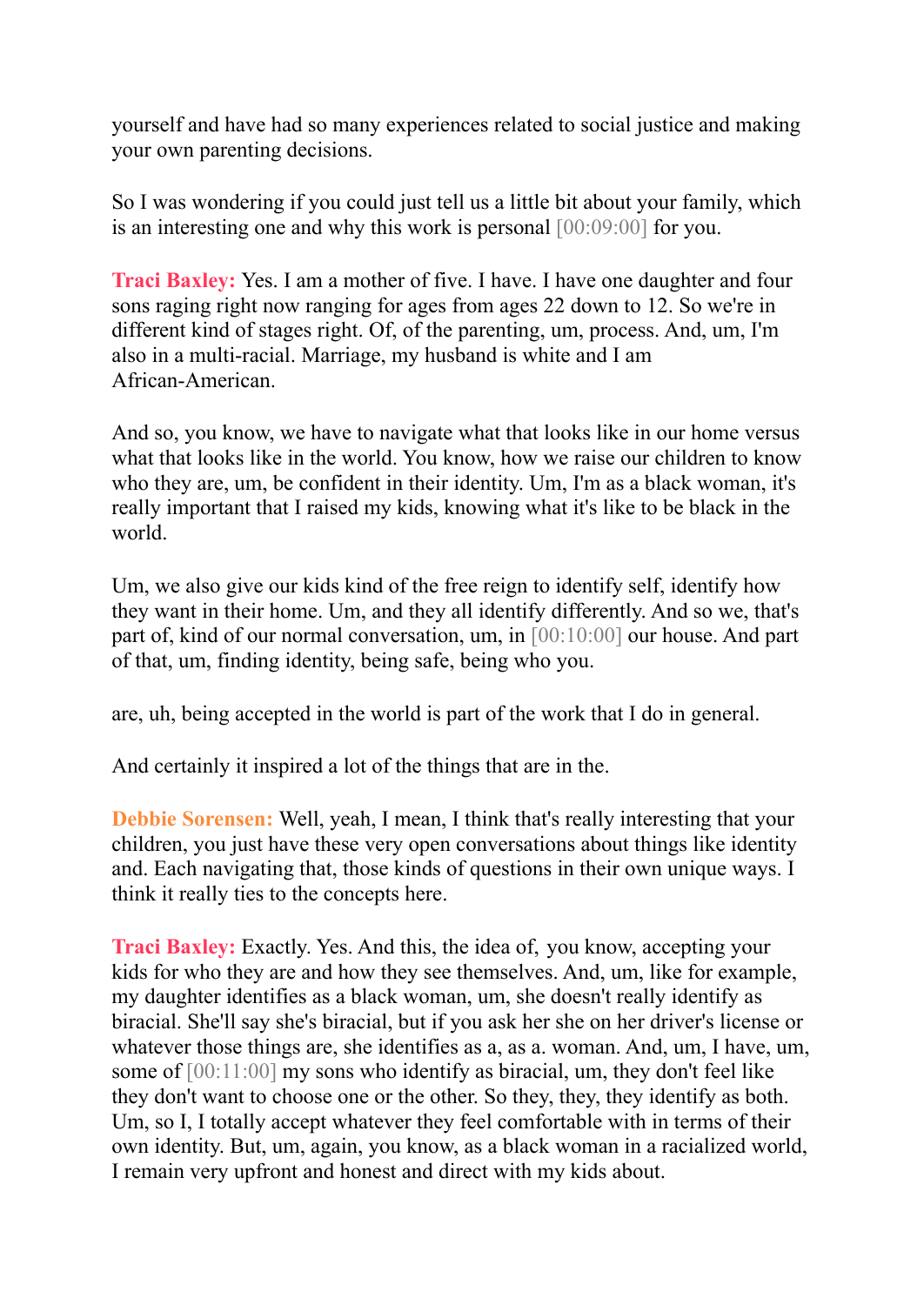yourself and have had so many experiences related to social justice and making your own parenting decisions.

So I was wondering if you could just tell us a little bit about your family, which is an interesting one and why this work is personal [00:09:00] for you.

**Traci Baxley:** Yes. I am a mother of five. I have. I have one daughter and four sons raging right now ranging for ages from ages 22 down to 12. So we're in different kind of stages right. Of, of the parenting, um, process. And, um, I'm also in a multi-racial. Marriage, my husband is white and I am African-American.

And so, you know, we have to navigate what that looks like in our home versus what that looks like in the world. You know, how we raise our children to know who they are, um, be confident in their identity. Um, I'm as a black woman, it's really important that I raised my kids, knowing what it's like to be black in the world.

Um, we also give our kids kind of the free reign to identify self, identify how they want in their home. Um, and they all identify differently. And so we, that's part of, kind of our normal conversation, um, in [00:10:00] our house. And part of that, um, finding identity, being safe, being who you.

are, uh, being accepted in the world is part of the work that I do in general.

And certainly it inspired a lot of the things that are in the.

**Debbie Sorensen:** Well, yeah, I mean, I think that's really interesting that your children, you just have these very open conversations about things like identity and. Each navigating that, those kinds of questions in their own unique ways. I think it really ties to the concepts here.

**Traci Baxley:** Exactly. Yes. And this, the idea of, you know, accepting your kids for who they are and how they see themselves. And, um, like for example, my daughter identifies as a black woman, um, she doesn't really identify as biracial. She'll say she's biracial, but if you ask her she on her driver's license or whatever those things are, she identifies as a, as a. woman. And, um, I have, um, some of [00:11:00] my sons who identify as biracial, um, they don't feel like they don't want to choose one or the other. So they, they, they identify as both. Um, so I, I totally accept whatever they feel comfortable with in terms of their own identity. But, um, again, you know, as a black woman in a racialized world, I remain very upfront and honest and direct with my kids about.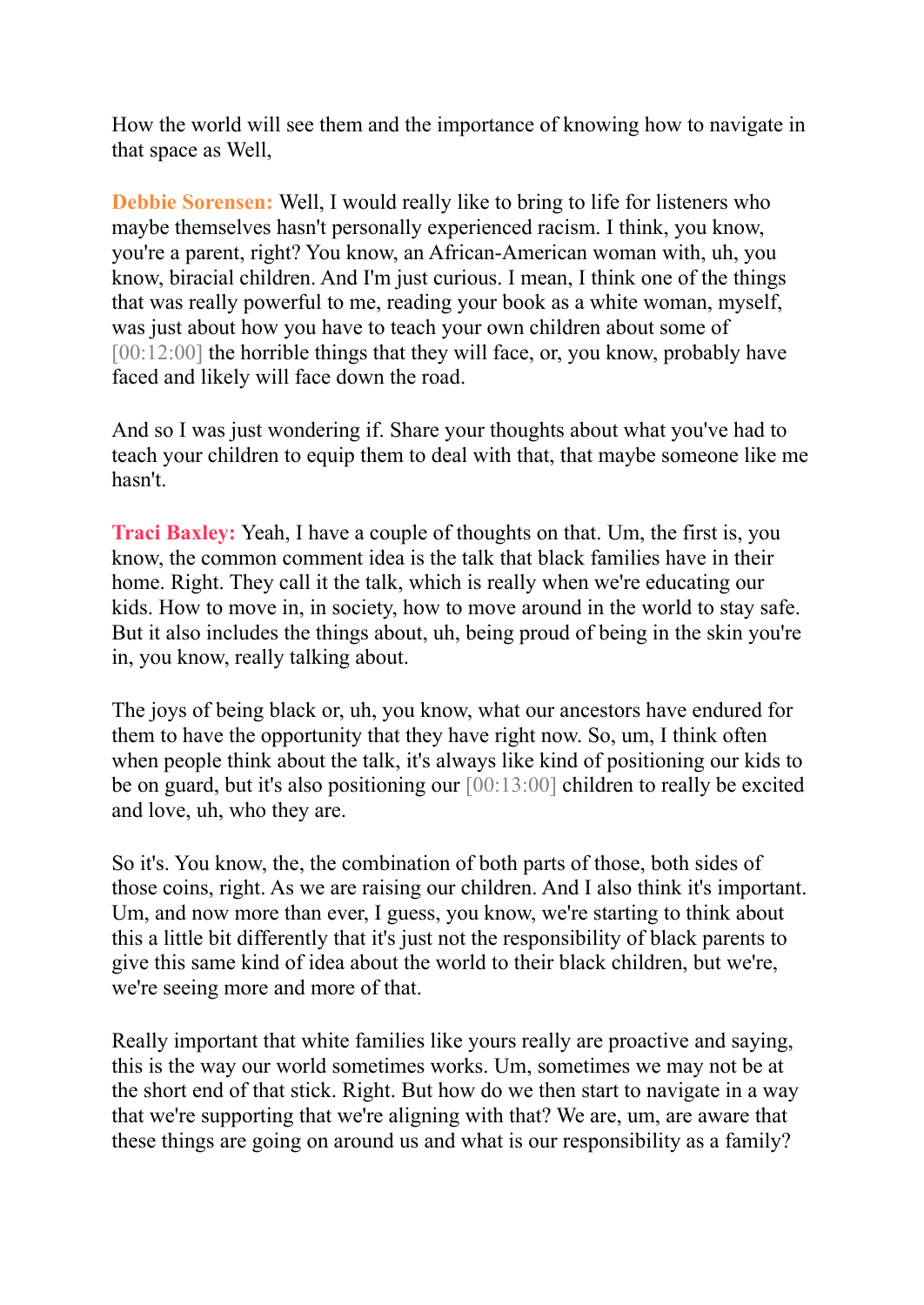How the world will see them and the importance of knowing how to navigate in that space as Well,

**Debbie Sorensen:** Well, I would really like to bring to life for listeners who maybe themselves hasn't personally experienced racism. I think, you know, you're a parent, right? You know, an African-American woman with, uh, you know, biracial children. And I'm just curious. I mean, I think one of the things that was really powerful to me, reading your book as a white woman, myself, was just about how you have to teach your own children about some of [00:12:00] the horrible things that they will face, or, you know, probably have faced and likely will face down the road.

And so I was just wondering if. Share your thoughts about what you've had to teach your children to equip them to deal with that, that maybe someone like me hasn't.

**Traci Baxley:** Yeah, I have a couple of thoughts on that. Um, the first is, you know, the common comment idea is the talk that black families have in their home. Right. They call it the talk, which is really when we're educating our kids. How to move in, in society, how to move around in the world to stay safe. But it also includes the things about, uh, being proud of being in the skin you're in, you know, really talking about.

The joys of being black or, uh, you know, what our ancestors have endured for them to have the opportunity that they have right now. So, um, I think often when people think about the talk, it's always like kind of positioning our kids to be on guard, but it's also positioning our [00:13:00] children to really be excited and love, uh, who they are.

So it's. You know, the, the combination of both parts of those, both sides of those coins, right. As we are raising our children. And I also think it's important. Um, and now more than ever, I guess, you know, we're starting to think about this a little bit differently that it's just not the responsibility of black parents to give this same kind of idea about the world to their black children, but we're, we're seeing more and more of that.

Really important that white families like yours really are proactive and saying, this is the way our world sometimes works. Um, sometimes we may not be at the short end of that stick. Right. But how do we then start to navigate in a way that we're supporting that we're aligning with that? We are, um, are aware that these things are going on around us and what is our responsibility as a family?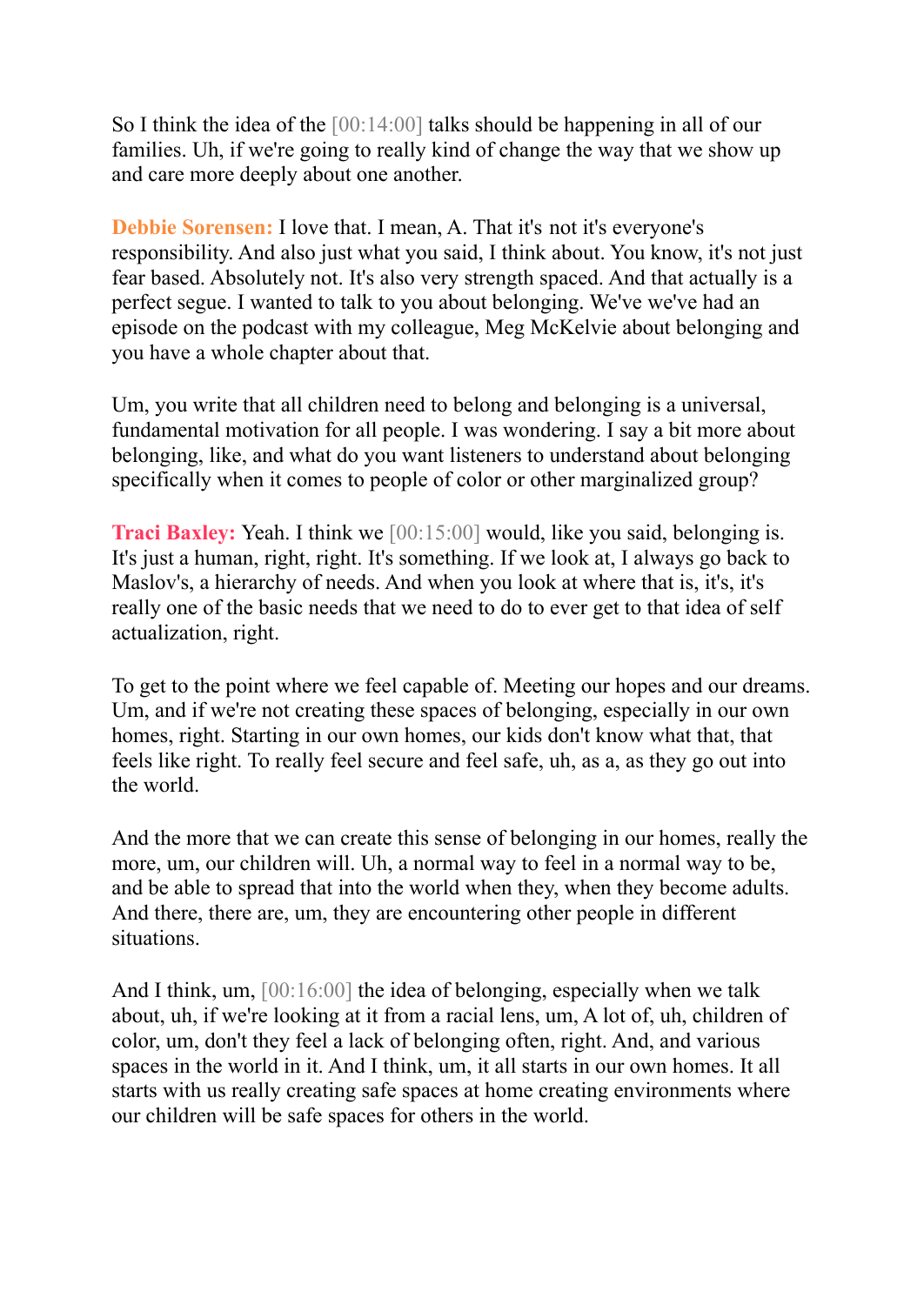So I think the idea of the [00:14:00] talks should be happening in all of our families. Uh, if we're going to really kind of change the way that we show up and care more deeply about one another.

**Debbie Sorensen:** I love that. I mean, A. That it's not it's everyone's responsibility. And also just what you said, I think about. You know, it's not just fear based. Absolutely not. It's also very strength spaced. And that actually is a perfect segue. I wanted to talk to you about belonging. We've we've had an episode on the podcast with my colleague, Meg McKelvie about belonging and you have a whole chapter about that.

Um, you write that all children need to belong and belonging is a universal, fundamental motivation for all people. I was wondering. I say a bit more about belonging, like, and what do you want listeners to understand about belonging specifically when it comes to people of color or other marginalized group?

**Traci Baxley:** Yeah. I think we [00:15:00] would, like you said, belonging is. It's just a human, right, right. It's something. If we look at, I always go back to Maslov's, a hierarchy of needs. And when you look at where that is, it's, it's really one of the basic needs that we need to do to ever get to that idea of self actualization, right.

To get to the point where we feel capable of. Meeting our hopes and our dreams. Um, and if we're not creating these spaces of belonging, especially in our own homes, right. Starting in our own homes, our kids don't know what that, that feels like right. To really feel secure and feel safe, uh, as a, as they go out into the world.

And the more that we can create this sense of belonging in our homes, really the more, um, our children will. Uh, a normal way to feel in a normal way to be, and be able to spread that into the world when they, when they become adults. And there, there are, um, they are encountering other people in different situations.

And I think, um, [00:16:00] the idea of belonging, especially when we talk about, uh, if we're looking at it from a racial lens, um, A lot of, uh, children of color, um, don't they feel a lack of belonging often, right. And, and various spaces in the world in it. And I think, um, it all starts in our own homes. It all starts with us really creating safe spaces at home creating environments where our children will be safe spaces for others in the world.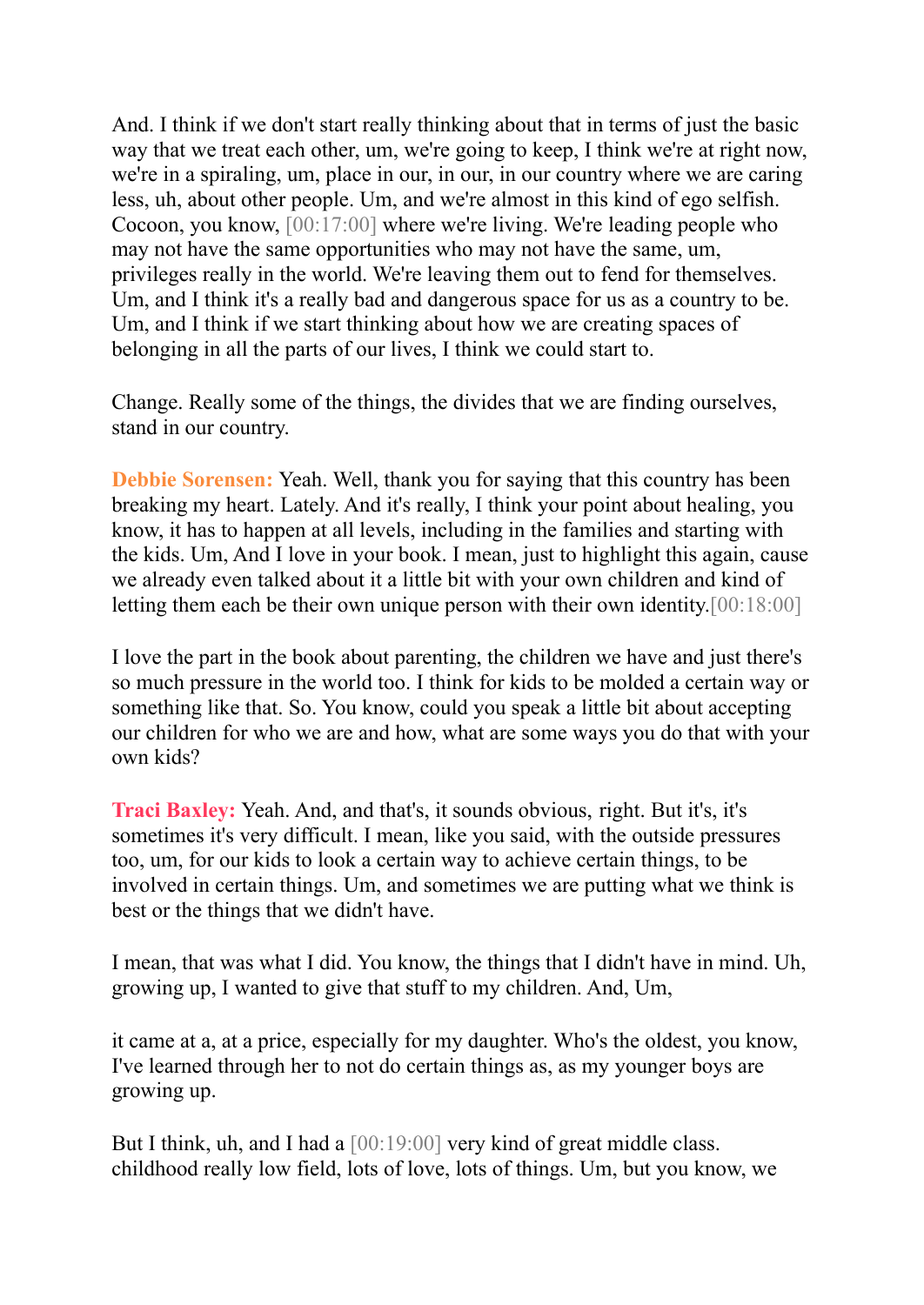And. I think if we don't start really thinking about that in terms of just the basic way that we treat each other, um, we're going to keep, I think we're at right now, we're in a spiraling, um, place in our, in our, in our country where we are caring less, uh, about other people. Um, and we're almost in this kind of ego selfish. Cocoon, you know, [00:17:00] where we're living. We're leading people who may not have the same opportunities who may not have the same, um, privileges really in the world. We're leaving them out to fend for themselves. Um, and I think it's a really bad and dangerous space for us as a country to be. Um, and I think if we start thinking about how we are creating spaces of belonging in all the parts of our lives, I think we could start to.

Change. Really some of the things, the divides that we are finding ourselves, stand in our country.

**Debbie Sorensen:** Yeah. Well, thank you for saying that this country has been breaking my heart. Lately. And it's really, I think your point about healing, you know, it has to happen at all levels, including in the families and starting with the kids. Um, And I love in your book. I mean, just to highlight this again, cause we already even talked about it a little bit with your own children and kind of letting them each be their own unique person with their own identity.[00:18:00]

I love the part in the book about parenting, the children we have and just there's so much pressure in the world too. I think for kids to be molded a certain way or something like that. So. You know, could you speak a little bit about accepting our children for who we are and how, what are some ways you do that with your own kids?

**Traci Baxley:** Yeah. And, and that's, it sounds obvious, right. But it's, it's sometimes it's very difficult. I mean, like you said, with the outside pressures too, um, for our kids to look a certain way to achieve certain things, to be involved in certain things. Um, and sometimes we are putting what we think is best or the things that we didn't have.

I mean, that was what I did. You know, the things that I didn't have in mind. Uh, growing up, I wanted to give that stuff to my children. And, Um,

it came at a, at a price, especially for my daughter. Who's the oldest, you know, I've learned through her to not do certain things as, as my younger boys are growing up.

But I think, uh, and I had a [00:19:00] very kind of great middle class. childhood really low field, lots of love, lots of things. Um, but you know, we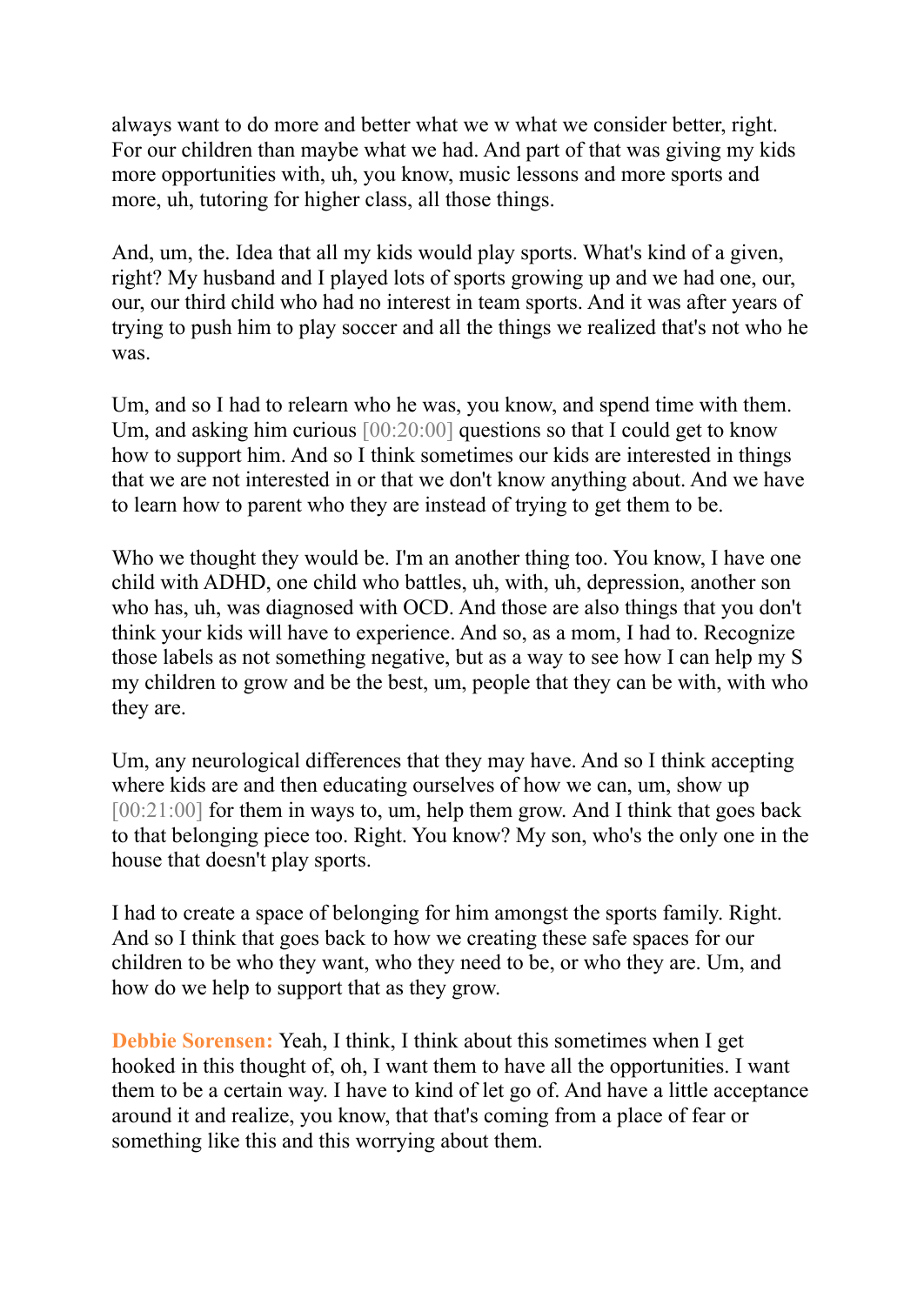always want to do more and better what we w what we consider better, right. For our children than maybe what we had. And part of that was giving my kids more opportunities with, uh, you know, music lessons and more sports and more, uh, tutoring for higher class, all those things.

And, um, the. Idea that all my kids would play sports. What's kind of a given, right? My husband and I played lots of sports growing up and we had one, our, our, our third child who had no interest in team sports. And it was after years of trying to push him to play soccer and all the things we realized that's not who he was.

Um, and so I had to relearn who he was, you know, and spend time with them. Um, and asking him curious [00:20:00] questions so that I could get to know how to support him. And so I think sometimes our kids are interested in things that we are not interested in or that we don't know anything about. And we have to learn how to parent who they are instead of trying to get them to be.

Who we thought they would be. I'm an another thing too. You know, I have one child with ADHD, one child who battles, uh, with, uh, depression, another son who has, uh, was diagnosed with OCD. And those are also things that you don't think your kids will have to experience. And so, as a mom, I had to. Recognize those labels as not something negative, but as a way to see how I can help my S my children to grow and be the best, um, people that they can be with, with who they are.

Um, any neurological differences that they may have. And so I think accepting where kids are and then educating ourselves of how we can, um, show up [00:21:00] for them in ways to, um, help them grow. And I think that goes back to that belonging piece too. Right. You know? My son, who's the only one in the house that doesn't play sports.

I had to create a space of belonging for him amongst the sports family. Right. And so I think that goes back to how we creating these safe spaces for our children to be who they want, who they need to be, or who they are. Um, and how do we help to support that as they grow.

**Debbie Sorensen:** Yeah, I think, I think about this sometimes when I get hooked in this thought of, oh, I want them to have all the opportunities. I want them to be a certain way. I have to kind of let go of. And have a little acceptance around it and realize, you know, that that's coming from a place of fear or something like this and this worrying about them.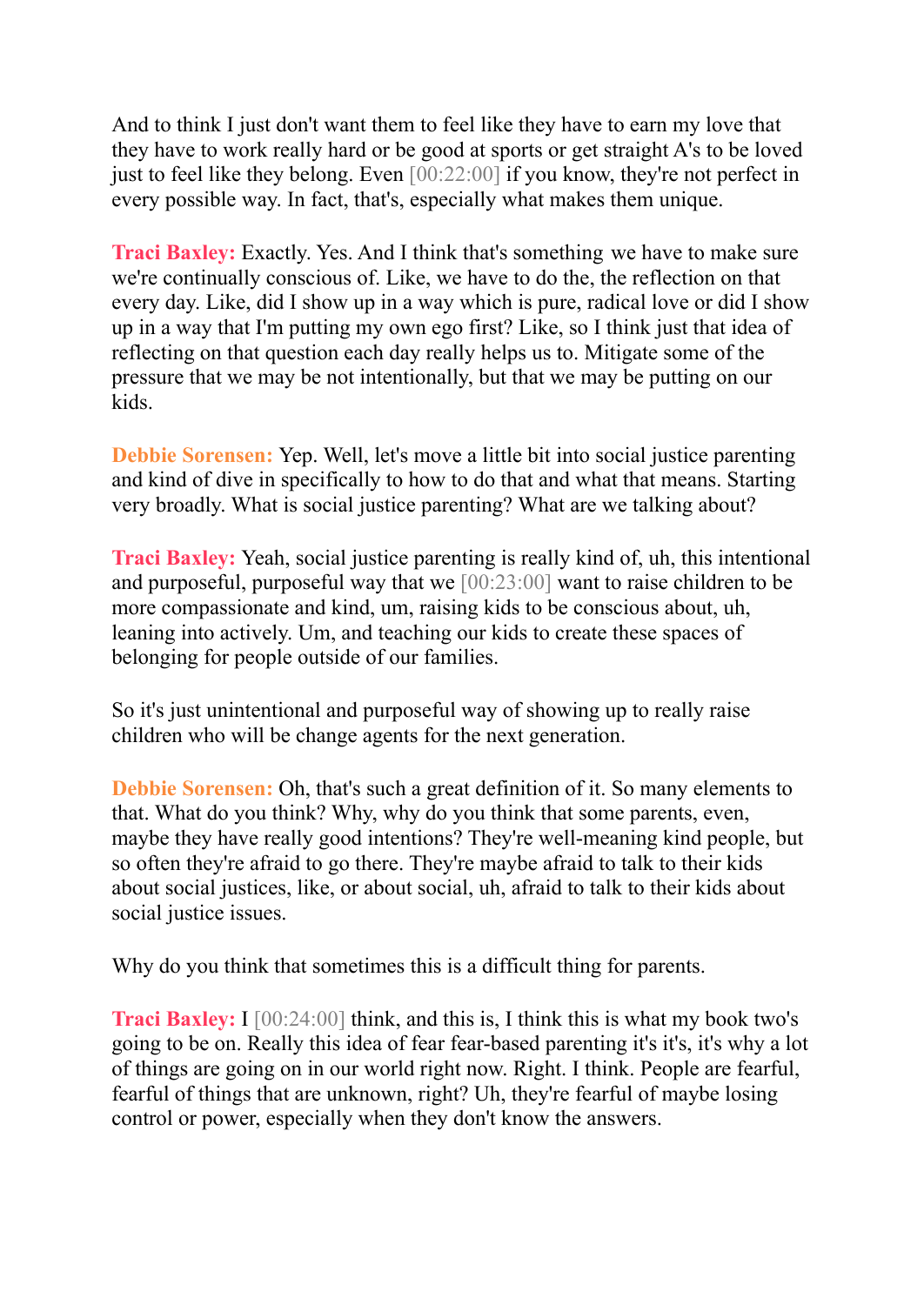And to think I just don't want them to feel like they have to earn my love that they have to work really hard or be good at sports or get straight A's to be loved just to feel like they belong. Even [00:22:00] if you know, they're not perfect in every possible way. In fact, that's, especially what makes them unique.

**Traci Baxley:** Exactly. Yes. And I think that's something we have to make sure we're continually conscious of. Like, we have to do the, the reflection on that every day. Like, did I show up in a way which is pure, radical love or did I show up in a way that I'm putting my own ego first? Like, so I think just that idea of reflecting on that question each day really helps us to. Mitigate some of the pressure that we may be not intentionally, but that we may be putting on our kids.

**Debbie Sorensen:** Yep. Well, let's move a little bit into social justice parenting and kind of dive in specifically to how to do that and what that means. Starting very broadly. What is social justice parenting? What are we talking about?

**Traci Baxley:** Yeah, social justice parenting is really kind of, uh, this intentional and purposeful, purposeful way that we [00:23:00] want to raise children to be more compassionate and kind, um, raising kids to be conscious about, uh, leaning into actively. Um, and teaching our kids to create these spaces of belonging for people outside of our families.

So it's just unintentional and purposeful way of showing up to really raise children who will be change agents for the next generation.

**Debbie Sorensen:** Oh, that's such a great definition of it. So many elements to that. What do you think? Why, why do you think that some parents, even, maybe they have really good intentions? They're well-meaning kind people, but so often they're afraid to go there. They're maybe afraid to talk to their kids about social justices, like, or about social, uh, afraid to talk to their kids about social justice issues.

Why do you think that sometimes this is a difficult thing for parents.

**Traci Baxley:** I [00:24:00] think, and this is, I think this is what my book two's going to be on. Really this idea of fear fear-based parenting it's it's, it's why a lot of things are going on in our world right now. Right. I think. People are fearful, fearful of things that are unknown, right? Uh, they're fearful of maybe losing control or power, especially when they don't know the answers.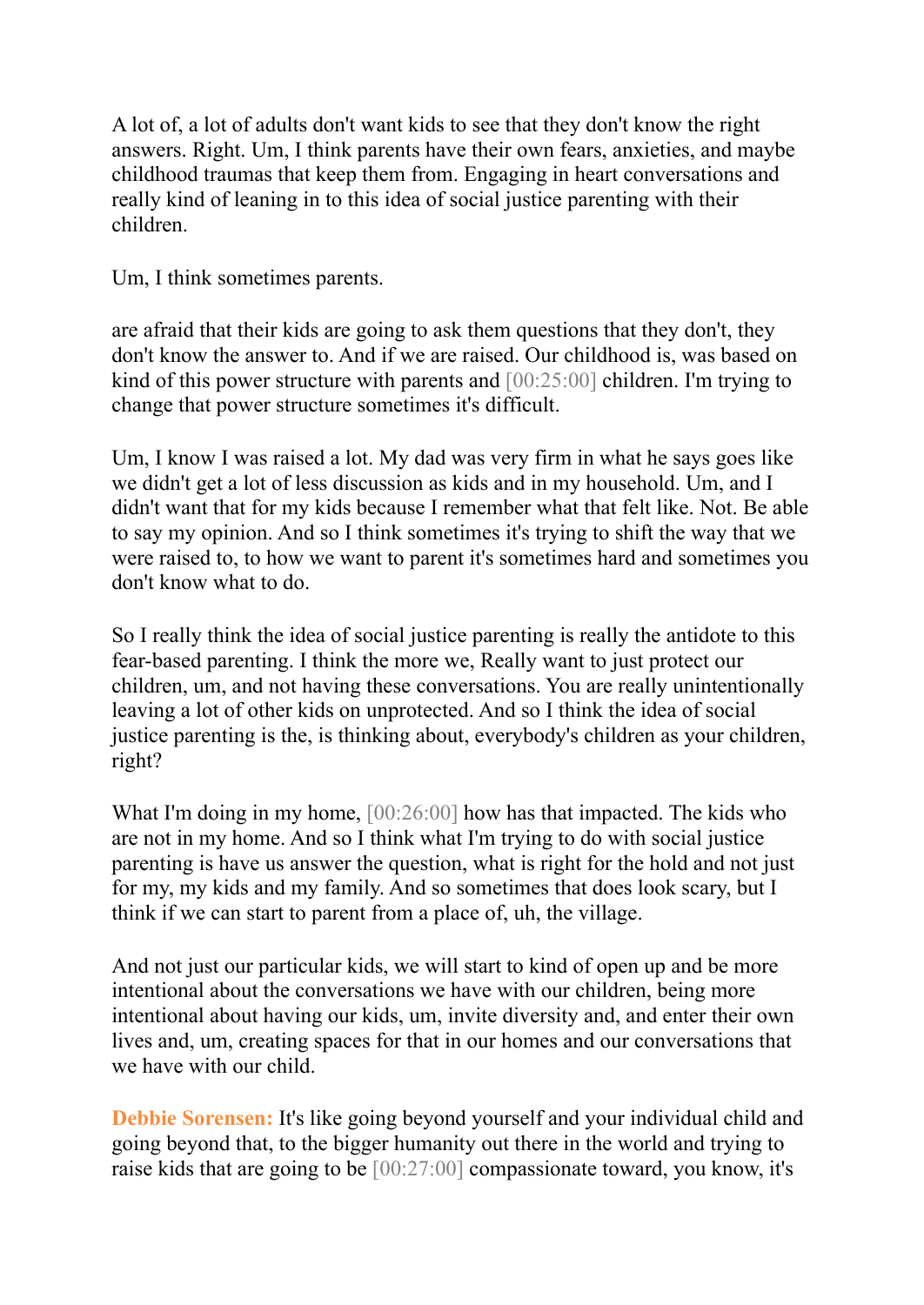A lot of, a lot of adults don't want kids to see that they don't know the right answers. Right. Um, I think parents have their own fears, anxieties, and maybe childhood traumas that keep them from. Engaging in heart conversations and really kind of leaning in to this idea of social justice parenting with their children.

Um, I think sometimes parents.

are afraid that their kids are going to ask them questions that they don't, they don't know the answer to. And if we are raised. Our childhood is, was based on kind of this power structure with parents and [00:25:00] children. I'm trying to change that power structure sometimes it's difficult.

Um, I know I was raised a lot. My dad was very firm in what he says goes like we didn't get a lot of less discussion as kids and in my household. Um, and I didn't want that for my kids because I remember what that felt like. Not. Be able to say my opinion. And so I think sometimes it's trying to shift the way that we were raised to, to how we want to parent it's sometimes hard and sometimes you don't know what to do.

So I really think the idea of social justice parenting is really the antidote to this fear-based parenting. I think the more we, Really want to just protect our children, um, and not having these conversations. You are really unintentionally leaving a lot of other kids on unprotected. And so I think the idea of social justice parenting is the, is thinking about, everybody's children as your children, right?

What I'm doing in my home,  $[00:26:00]$  how has that impacted. The kids who are not in my home. And so I think what I'm trying to do with social justice parenting is have us answer the question, what is right for the hold and not just for my, my kids and my family. And so sometimes that does look scary, but I think if we can start to parent from a place of, uh, the village.

And not just our particular kids, we will start to kind of open up and be more intentional about the conversations we have with our children, being more intentional about having our kids, um, invite diversity and, and enter their own lives and, um, creating spaces for that in our homes and our conversations that we have with our child.

**Debbie Sorensen:** It's like going beyond yourself and your individual child and going beyond that, to the bigger humanity out there in the world and trying to raise kids that are going to be [00:27:00] compassionate toward, you know, it's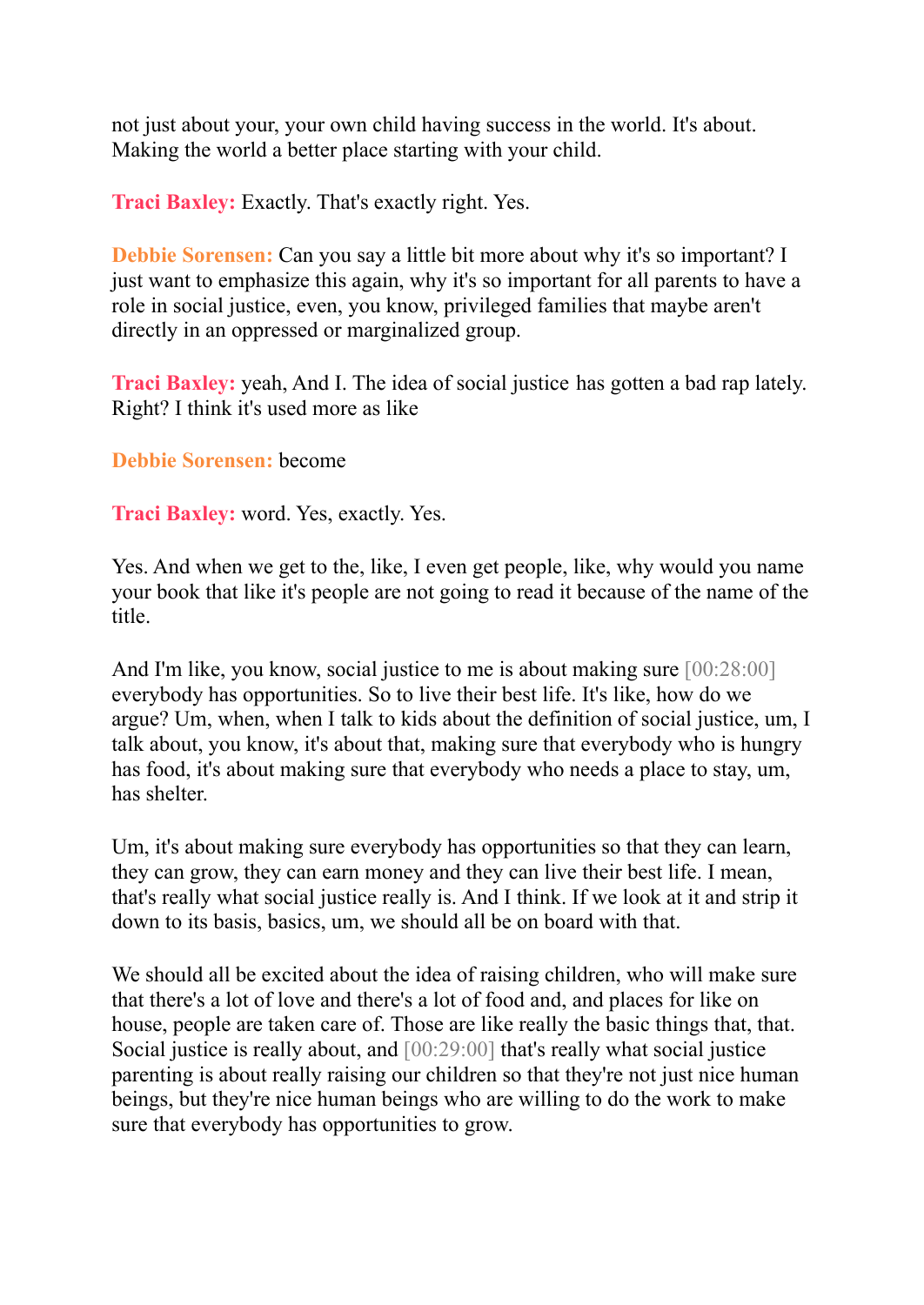not just about your, your own child having success in the world. It's about. Making the world a better place starting with your child.

**Traci Baxley:** Exactly. That's exactly right. Yes.

**Debbie Sorensen:** Can you say a little bit more about why it's so important? I just want to emphasize this again, why it's so important for all parents to have a role in social justice, even, you know, privileged families that maybe aren't directly in an oppressed or marginalized group.

**Traci Baxley:** yeah, And I. The idea of social justice has gotten a bad rap lately. Right? I think it's used more as like

**Debbie Sorensen:** become

**Traci Baxley:** word. Yes, exactly. Yes.

Yes. And when we get to the, like, I even get people, like, why would you name your book that like it's people are not going to read it because of the name of the title.

And I'm like, you know, social justice to me is about making sure [00:28:00] everybody has opportunities. So to live their best life. It's like, how do we argue? Um, when, when I talk to kids about the definition of social justice, um, I talk about, you know, it's about that, making sure that everybody who is hungry has food, it's about making sure that everybody who needs a place to stay, um, has shelter.

Um, it's about making sure everybody has opportunities so that they can learn, they can grow, they can earn money and they can live their best life. I mean, that's really what social justice really is. And I think. If we look at it and strip it down to its basis, basics, um, we should all be on board with that.

We should all be excited about the idea of raising children, who will make sure that there's a lot of love and there's a lot of food and, and places for like on house, people are taken care of. Those are like really the basic things that, that. Social justice is really about, and [00:29:00] that's really what social justice parenting is about really raising our children so that they're not just nice human beings, but they're nice human beings who are willing to do the work to make sure that everybody has opportunities to grow.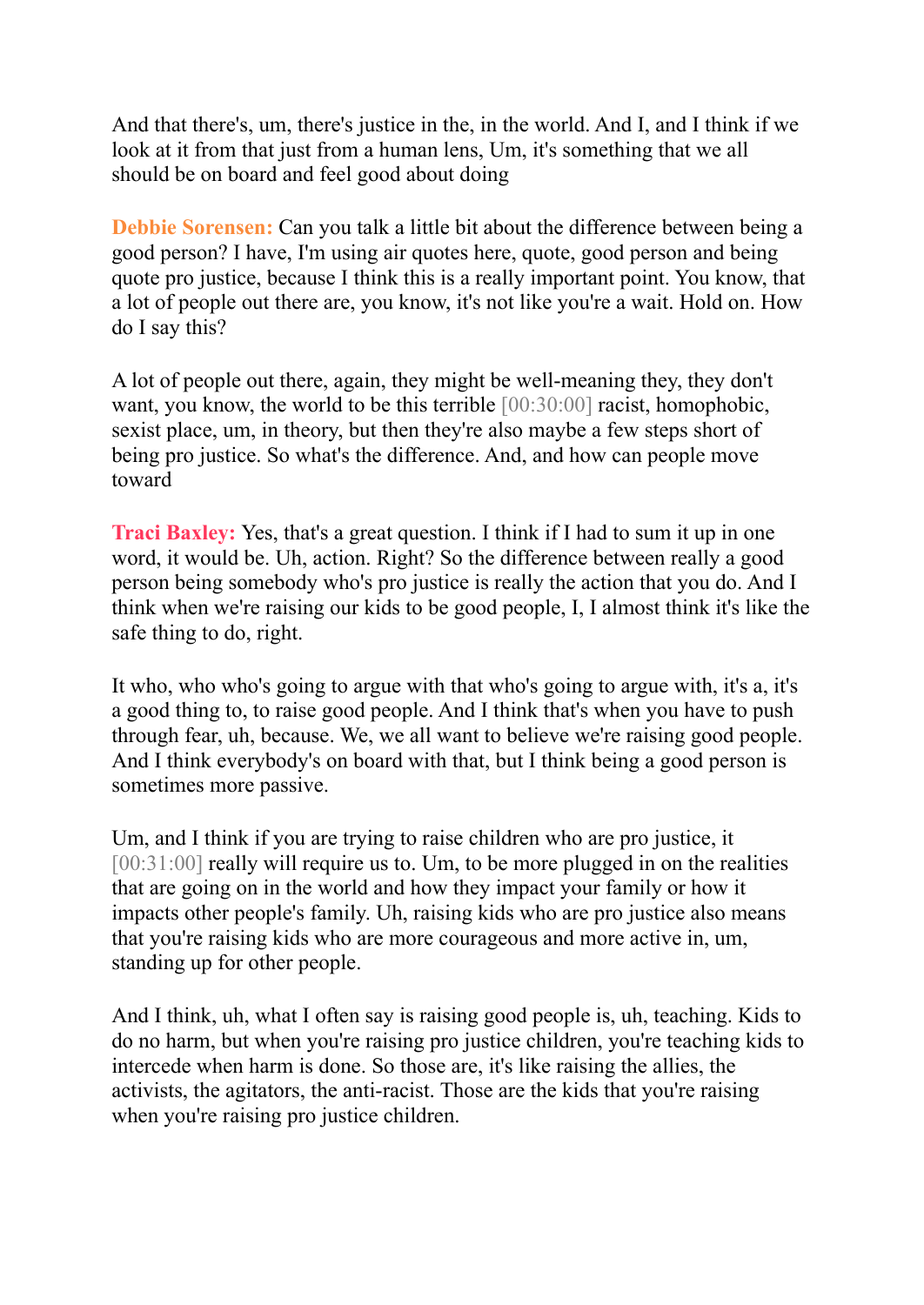And that there's, um, there's justice in the, in the world. And I, and I think if we look at it from that just from a human lens, Um, it's something that we all should be on board and feel good about doing

**Debbie Sorensen:** Can you talk a little bit about the difference between being a good person? I have, I'm using air quotes here, quote, good person and being quote pro justice, because I think this is a really important point. You know, that a lot of people out there are, you know, it's not like you're a wait. Hold on. How do I say this?

A lot of people out there, again, they might be well-meaning they, they don't want, you know, the world to be this terrible [00:30:00] racist, homophobic, sexist place, um, in theory, but then they're also maybe a few steps short of being pro justice. So what's the difference. And, and how can people move toward

**Traci Baxley:** Yes, that's a great question. I think if I had to sum it up in one word, it would be. Uh, action. Right? So the difference between really a good person being somebody who's pro justice is really the action that you do. And I think when we're raising our kids to be good people, I, I almost think it's like the safe thing to do, right.

It who, who who's going to argue with that who's going to argue with, it's a, it's a good thing to, to raise good people. And I think that's when you have to push through fear, uh, because. We, we all want to believe we're raising good people. And I think everybody's on board with that, but I think being a good person is sometimes more passive.

Um, and I think if you are trying to raise children who are pro justice, it [00:31:00] really will require us to. Um, to be more plugged in on the realities that are going on in the world and how they impact your family or how it impacts other people's family. Uh, raising kids who are pro justice also means that you're raising kids who are more courageous and more active in, um, standing up for other people.

And I think, uh, what I often say is raising good people is, uh, teaching. Kids to do no harm, but when you're raising pro justice children, you're teaching kids to intercede when harm is done. So those are, it's like raising the allies, the activists, the agitators, the anti-racist. Those are the kids that you're raising when you're raising pro justice children.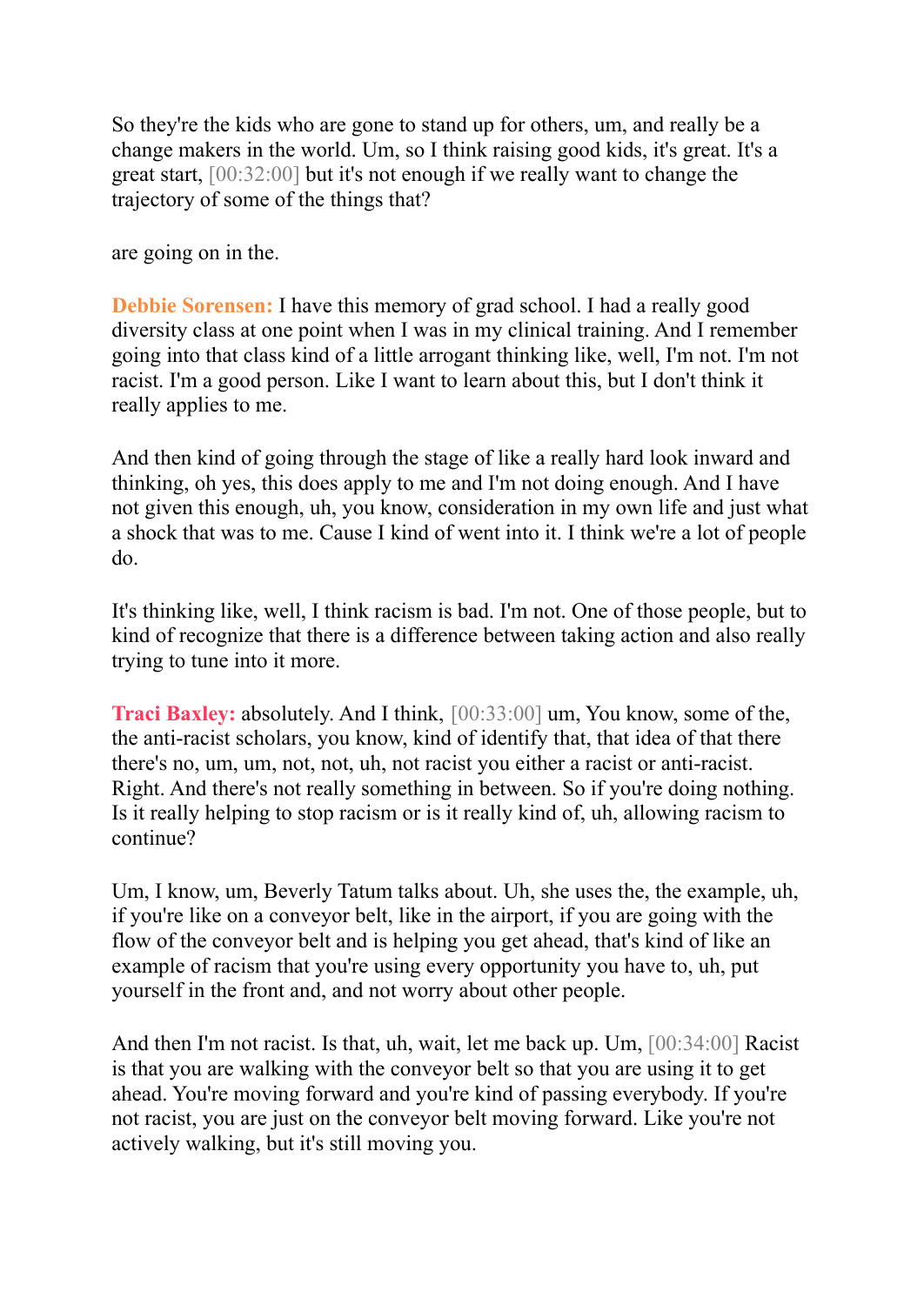So they're the kids who are gone to stand up for others, um, and really be a change makers in the world. Um, so I think raising good kids, it's great. It's a great start, [00:32:00] but it's not enough if we really want to change the trajectory of some of the things that?

are going on in the.

**Debbie Sorensen:** I have this memory of grad school. I had a really good diversity class at one point when I was in my clinical training. And I remember going into that class kind of a little arrogant thinking like, well, I'm not. I'm not racist. I'm a good person. Like I want to learn about this, but I don't think it really applies to me.

And then kind of going through the stage of like a really hard look inward and thinking, oh yes, this does apply to me and I'm not doing enough. And I have not given this enough, uh, you know, consideration in my own life and just what a shock that was to me. Cause I kind of went into it. I think we're a lot of people do.

It's thinking like, well, I think racism is bad. I'm not. One of those people, but to kind of recognize that there is a difference between taking action and also really trying to tune into it more.

**Traci Baxley:** absolutely. And I think, [00:33:00] um, You know, some of the, the anti-racist scholars, you know, kind of identify that, that idea of that there there's no, um, um, not, not, uh, not racist you either a racist or anti-racist. Right. And there's not really something in between. So if you're doing nothing. Is it really helping to stop racism or is it really kind of, uh, allowing racism to continue?

Um, I know, um, Beverly Tatum talks about. Uh, she uses the, the example, uh, if you're like on a conveyor belt, like in the airport, if you are going with the flow of the conveyor belt and is helping you get ahead, that's kind of like an example of racism that you're using every opportunity you have to, uh, put yourself in the front and, and not worry about other people.

And then I'm not racist. Is that, uh, wait, let me back up. Um, [00:34:00] Racist is that you are walking with the conveyor belt so that you are using it to get ahead. You're moving forward and you're kind of passing everybody. If you're not racist, you are just on the conveyor belt moving forward. Like you're not actively walking, but it's still moving you.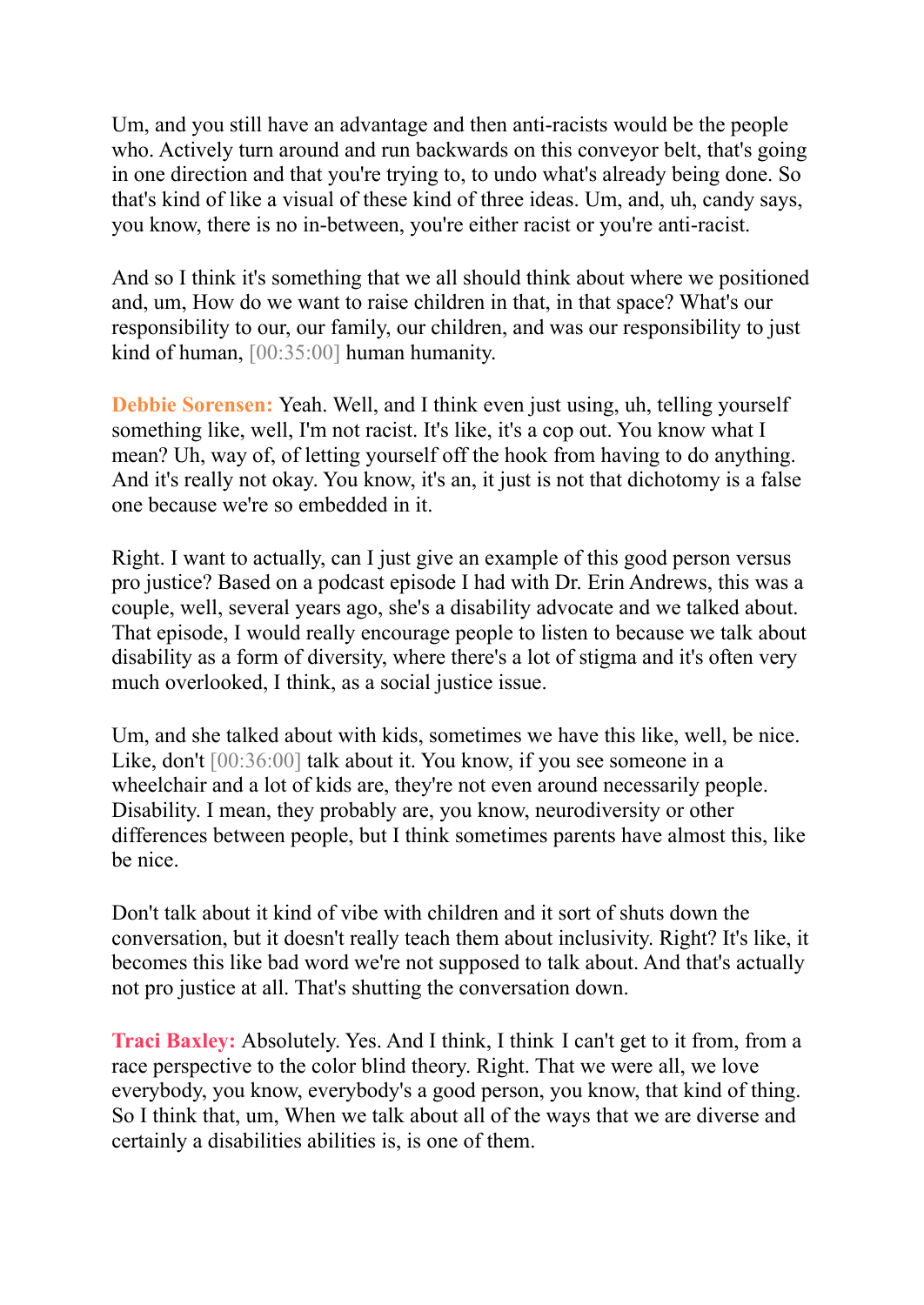Um, and you still have an advantage and then anti-racists would be the people who. Actively turn around and run backwards on this conveyor belt, that's going in one direction and that you're trying to, to undo what's already being done. So that's kind of like a visual of these kind of three ideas. Um, and, uh, candy says, you know, there is no in-between, you're either racist or you're anti-racist.

And so I think it's something that we all should think about where we positioned and, um, How do we want to raise children in that, in that space? What's our responsibility to our, our family, our children, and was our responsibility to just kind of human, [00:35:00] human humanity.

**Debbie Sorensen:** Yeah. Well, and I think even just using, uh, telling yourself something like, well, I'm not racist. It's like, it's a cop out. You know what I mean? Uh, way of, of letting yourself off the hook from having to do anything. And it's really not okay. You know, it's an, it just is not that dichotomy is a false one because we're so embedded in it.

Right. I want to actually, can I just give an example of this good person versus pro justice? Based on a podcast episode I had with Dr. Erin Andrews, this was a couple, well, several years ago, she's a disability advocate and we talked about. That episode, I would really encourage people to listen to because we talk about disability as a form of diversity, where there's a lot of stigma and it's often very much overlooked, I think, as a social justice issue.

Um, and she talked about with kids, sometimes we have this like, well, be nice. Like, don't [00:36:00] talk about it. You know, if you see someone in a wheelchair and a lot of kids are, they're not even around necessarily people. Disability. I mean, they probably are, you know, neurodiversity or other differences between people, but I think sometimes parents have almost this, like be nice.

Don't talk about it kind of vibe with children and it sort of shuts down the conversation, but it doesn't really teach them about inclusivity. Right? It's like, it becomes this like bad word we're not supposed to talk about. And that's actually not pro justice at all. That's shutting the conversation down.

**Traci Baxley:** Absolutely. Yes. And I think, I think I can't get to it from, from a race perspective to the color blind theory. Right. That we were all, we love everybody, you know, everybody's a good person, you know, that kind of thing. So I think that, um, When we talk about all of the ways that we are diverse and certainly a disabilities abilities is, is one of them.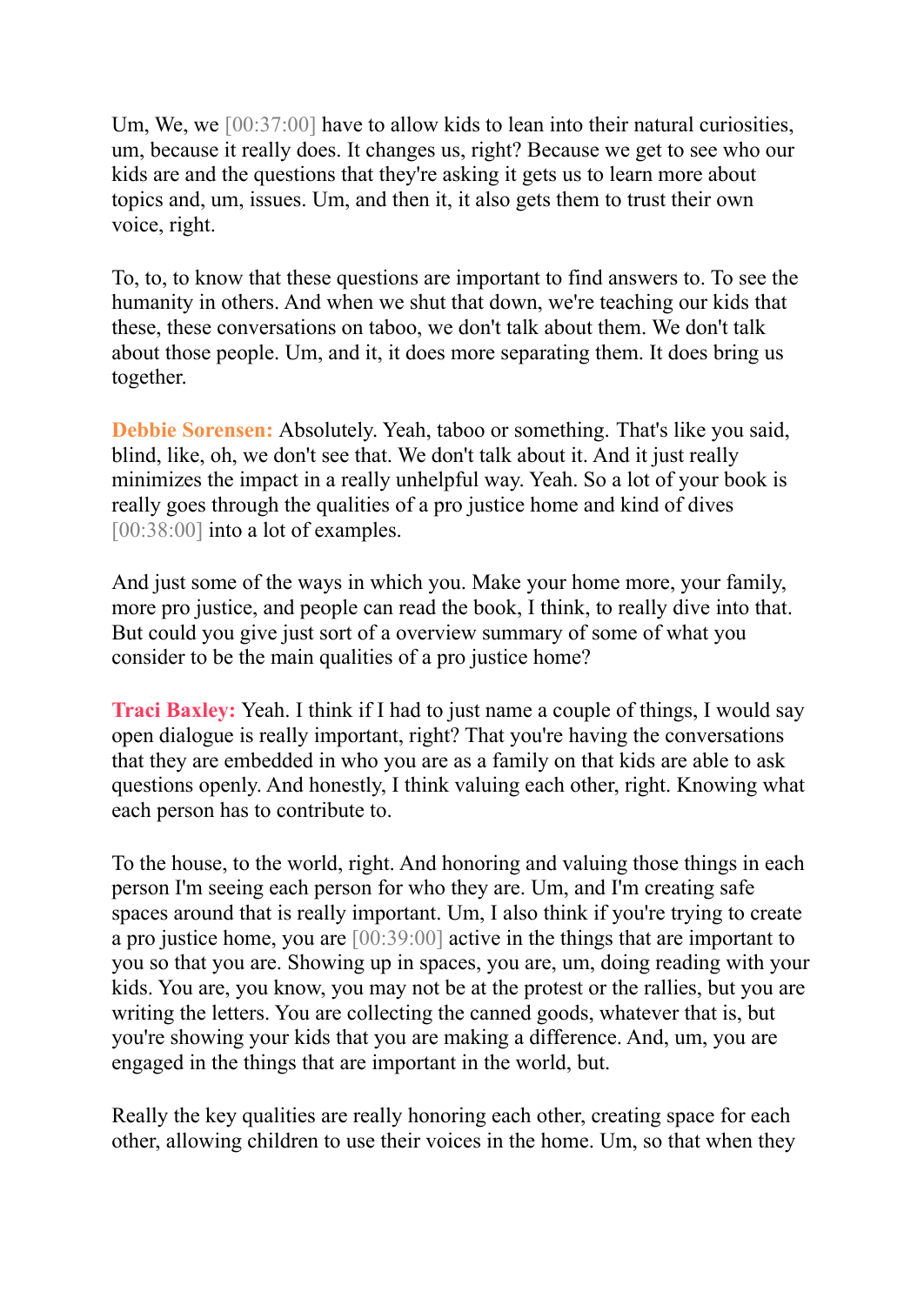Um, We, we [00:37:00] have to allow kids to lean into their natural curiosities, um, because it really does. It changes us, right? Because we get to see who our kids are and the questions that they're asking it gets us to learn more about topics and, um, issues. Um, and then it, it also gets them to trust their own voice, right.

To, to, to know that these questions are important to find answers to. To see the humanity in others. And when we shut that down, we're teaching our kids that these, these conversations on taboo, we don't talk about them. We don't talk about those people. Um, and it, it does more separating them. It does bring us together.

**Debbie Sorensen:** Absolutely. Yeah, taboo or something. That's like you said, blind, like, oh, we don't see that. We don't talk about it. And it just really minimizes the impact in a really unhelpful way. Yeah. So a lot of your book is really goes through the qualities of a pro justice home and kind of dives [00:38:00] into a lot of examples.

And just some of the ways in which you. Make your home more, your family, more pro justice, and people can read the book, I think, to really dive into that. But could you give just sort of a overview summary of some of what you consider to be the main qualities of a pro justice home?

**Traci Baxley:** Yeah. I think if I had to just name a couple of things, I would say open dialogue is really important, right? That you're having the conversations that they are embedded in who you are as a family on that kids are able to ask questions openly. And honestly, I think valuing each other, right. Knowing what each person has to contribute to.

To the house, to the world, right. And honoring and valuing those things in each person I'm seeing each person for who they are. Um, and I'm creating safe spaces around that is really important. Um, I also think if you're trying to create a pro justice home, you are [00:39:00] active in the things that are important to you so that you are. Showing up in spaces, you are, um, doing reading with your kids. You are, you know, you may not be at the protest or the rallies, but you are writing the letters. You are collecting the canned goods, whatever that is, but you're showing your kids that you are making a difference. And, um, you are engaged in the things that are important in the world, but.

Really the key qualities are really honoring each other, creating space for each other, allowing children to use their voices in the home. Um, so that when they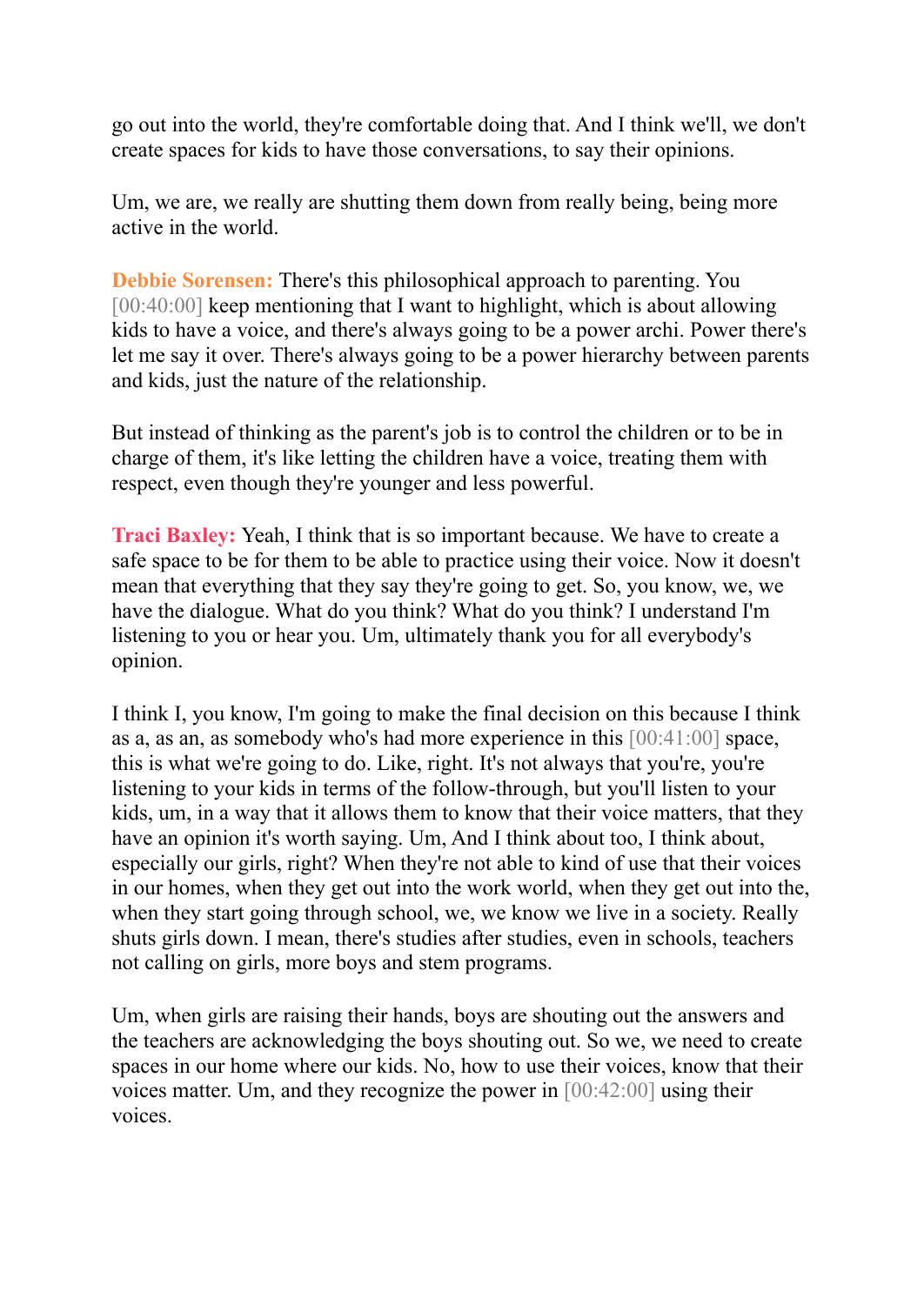go out into the world, they're comfortable doing that. And I think we'll, we don't create spaces for kids to have those conversations, to say their opinions.

Um, we are, we really are shutting them down from really being, being more active in the world.

**Debbie Sorensen:** There's this philosophical approach to parenting. You [00:40:00] keep mentioning that I want to highlight, which is about allowing kids to have a voice, and there's always going to be a power archi. Power there's let me say it over. There's always going to be a power hierarchy between parents and kids, just the nature of the relationship.

But instead of thinking as the parent's job is to control the children or to be in charge of them, it's like letting the children have a voice, treating them with respect, even though they're younger and less powerful.

**Traci Baxley:** Yeah, I think that is so important because. We have to create a safe space to be for them to be able to practice using their voice. Now it doesn't mean that everything that they say they're going to get. So, you know, we, we have the dialogue. What do you think? What do you think? I understand I'm listening to you or hear you. Um, ultimately thank you for all everybody's opinion.

I think I, you know, I'm going to make the final decision on this because I think as a, as an, as somebody who's had more experience in this [00:41:00] space, this is what we're going to do. Like, right. It's not always that you're, you're listening to your kids in terms of the follow-through, but you'll listen to your kids, um, in a way that it allows them to know that their voice matters, that they have an opinion it's worth saying. Um, And I think about too, I think about, especially our girls, right? When they're not able to kind of use that their voices in our homes, when they get out into the work world, when they get out into the, when they start going through school, we, we know we live in a society. Really shuts girls down. I mean, there's studies after studies, even in schools, teachers not calling on girls, more boys and stem programs.

Um, when girls are raising their hands, boys are shouting out the answers and the teachers are acknowledging the boys shouting out. So we, we need to create spaces in our home where our kids. No, how to use their voices, know that their voices matter. Um, and they recognize the power in [00:42:00] using their voices.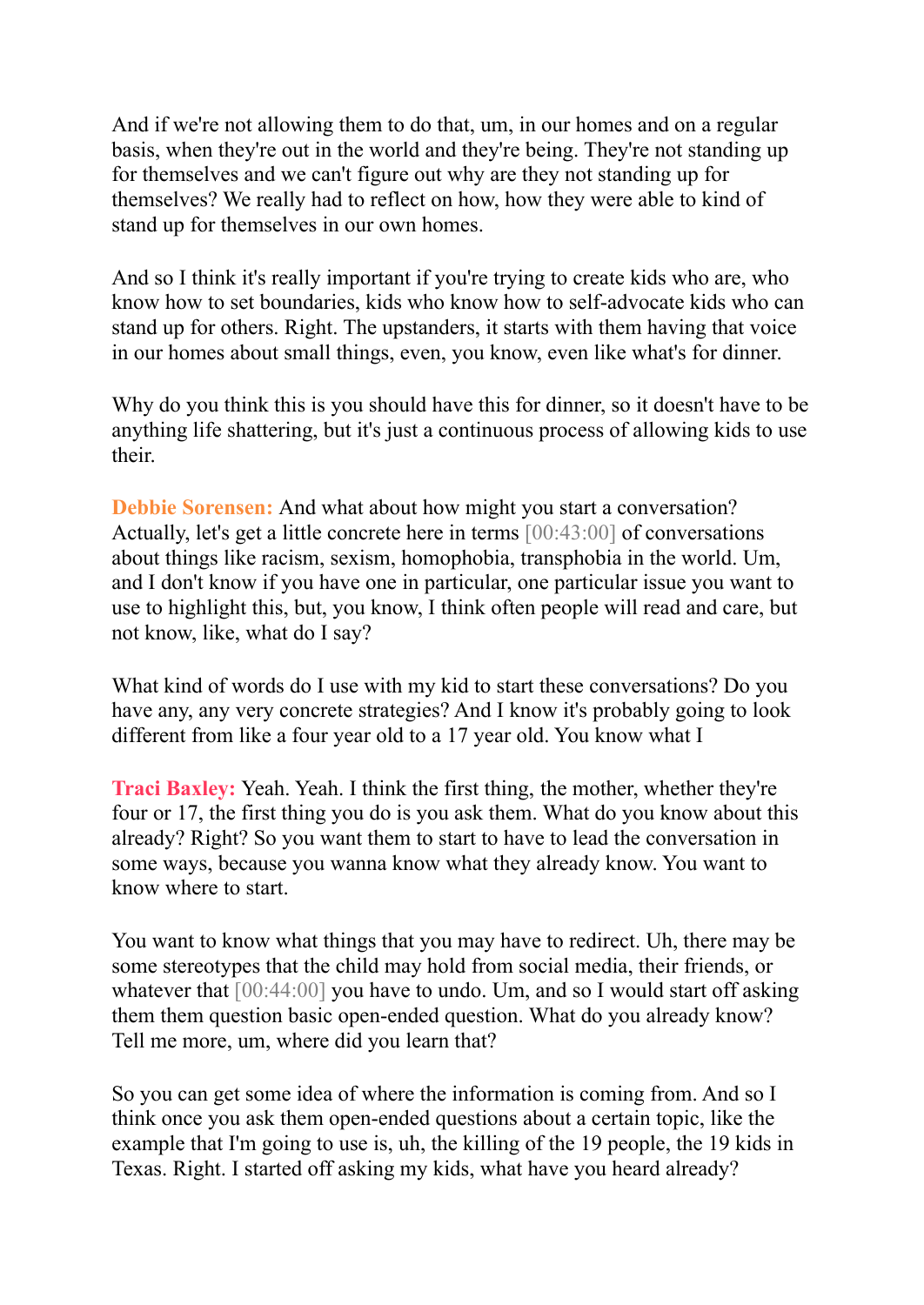And if we're not allowing them to do that, um, in our homes and on a regular basis, when they're out in the world and they're being. They're not standing up for themselves and we can't figure out why are they not standing up for themselves? We really had to reflect on how, how they were able to kind of stand up for themselves in our own homes.

And so I think it's really important if you're trying to create kids who are, who know how to set boundaries, kids who know how to self-advocate kids who can stand up for others. Right. The upstanders, it starts with them having that voice in our homes about small things, even, you know, even like what's for dinner.

Why do you think this is you should have this for dinner, so it doesn't have to be anything life shattering, but it's just a continuous process of allowing kids to use their.

**Debbie Sorensen:** And what about how might you start a conversation? Actually, let's get a little concrete here in terms [00:43:00] of conversations about things like racism, sexism, homophobia, transphobia in the world. Um, and I don't know if you have one in particular, one particular issue you want to use to highlight this, but, you know, I think often people will read and care, but not know, like, what do I say?

What kind of words do I use with my kid to start these conversations? Do you have any, any very concrete strategies? And I know it's probably going to look different from like a four year old to a 17 year old. You know what I

**Traci Baxley:** Yeah. Yeah. I think the first thing, the mother, whether they're four or 17, the first thing you do is you ask them. What do you know about this already? Right? So you want them to start to have to lead the conversation in some ways, because you wanna know what they already know. You want to know where to start.

You want to know what things that you may have to redirect. Uh, there may be some stereotypes that the child may hold from social media, their friends, or whatever that  $[00:44:00]$  you have to undo. Um, and so I would start off asking them them question basic open-ended question. What do you already know? Tell me more, um, where did you learn that?

So you can get some idea of where the information is coming from. And so I think once you ask them open-ended questions about a certain topic, like the example that I'm going to use is, uh, the killing of the 19 people, the 19 kids in Texas. Right. I started off asking my kids, what have you heard already?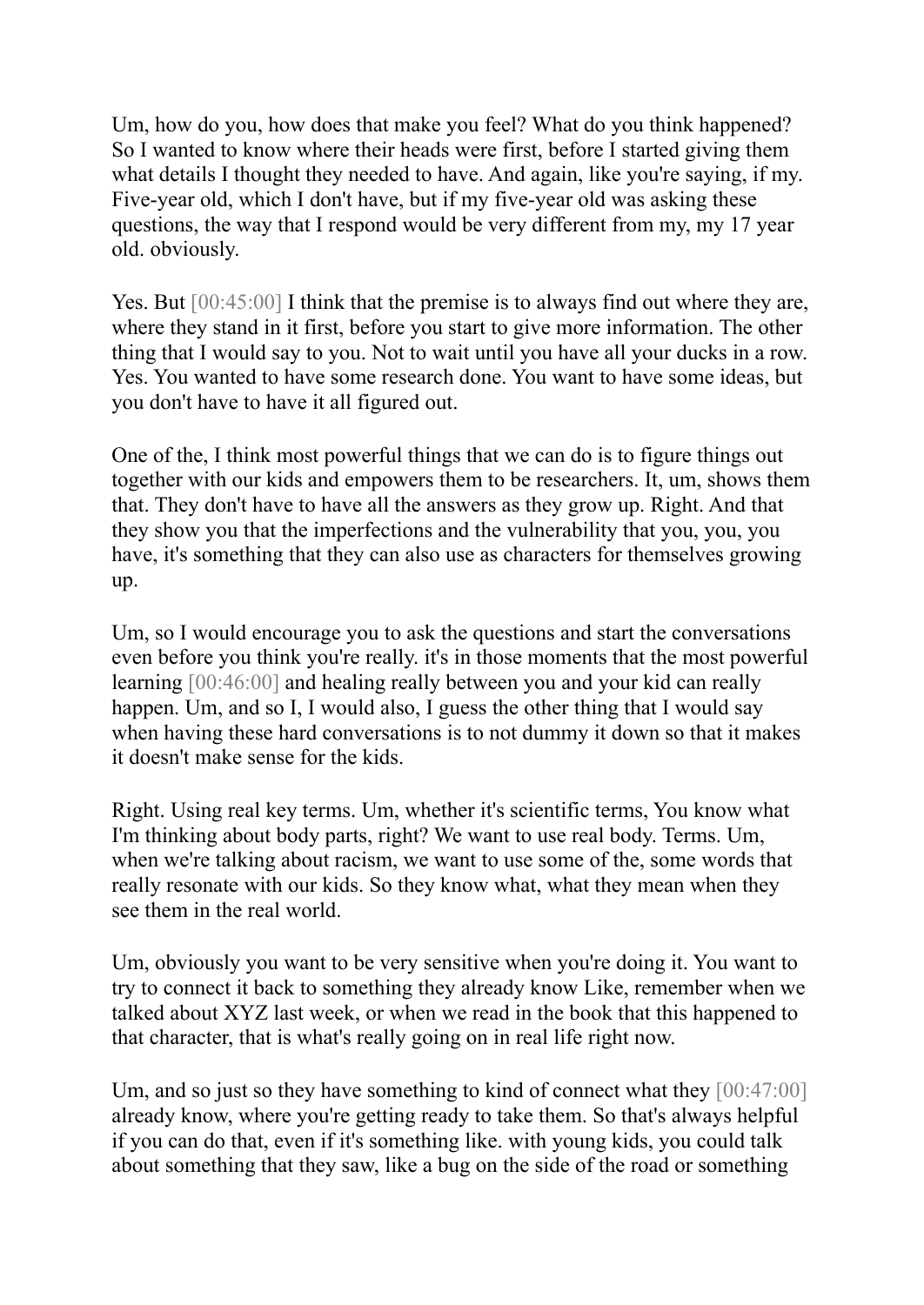Um, how do you, how does that make you feel? What do you think happened? So I wanted to know where their heads were first, before I started giving them what details I thought they needed to have. And again, like you're saying, if my. Five-year old, which I don't have, but if my five-year old was asking these questions, the way that I respond would be very different from my, my 17 year old. obviously.

Yes. But  $[00:45:00]$  I think that the premise is to always find out where they are, where they stand in it first, before you start to give more information. The other thing that I would say to you. Not to wait until you have all your ducks in a row. Yes. You wanted to have some research done. You want to have some ideas, but you don't have to have it all figured out.

One of the, I think most powerful things that we can do is to figure things out together with our kids and empowers them to be researchers. It, um, shows them that. They don't have to have all the answers as they grow up. Right. And that they show you that the imperfections and the vulnerability that you, you, you have, it's something that they can also use as characters for themselves growing up.

Um, so I would encourage you to ask the questions and start the conversations even before you think you're really. it's in those moments that the most powerful learning [00:46:00] and healing really between you and your kid can really happen. Um, and so I, I would also, I guess the other thing that I would say when having these hard conversations is to not dummy it down so that it makes it doesn't make sense for the kids.

Right. Using real key terms. Um, whether it's scientific terms, You know what I'm thinking about body parts, right? We want to use real body. Terms. Um, when we're talking about racism, we want to use some of the, some words that really resonate with our kids. So they know what, what they mean when they see them in the real world.

Um, obviously you want to be very sensitive when you're doing it. You want to try to connect it back to something they already know Like, remember when we talked about XYZ last week, or when we read in the book that this happened to that character, that is what's really going on in real life right now.

Um, and so just so they have something to kind of connect what they  $[00:47:00]$ already know, where you're getting ready to take them. So that's always helpful if you can do that, even if it's something like. with young kids, you could talk about something that they saw, like a bug on the side of the road or something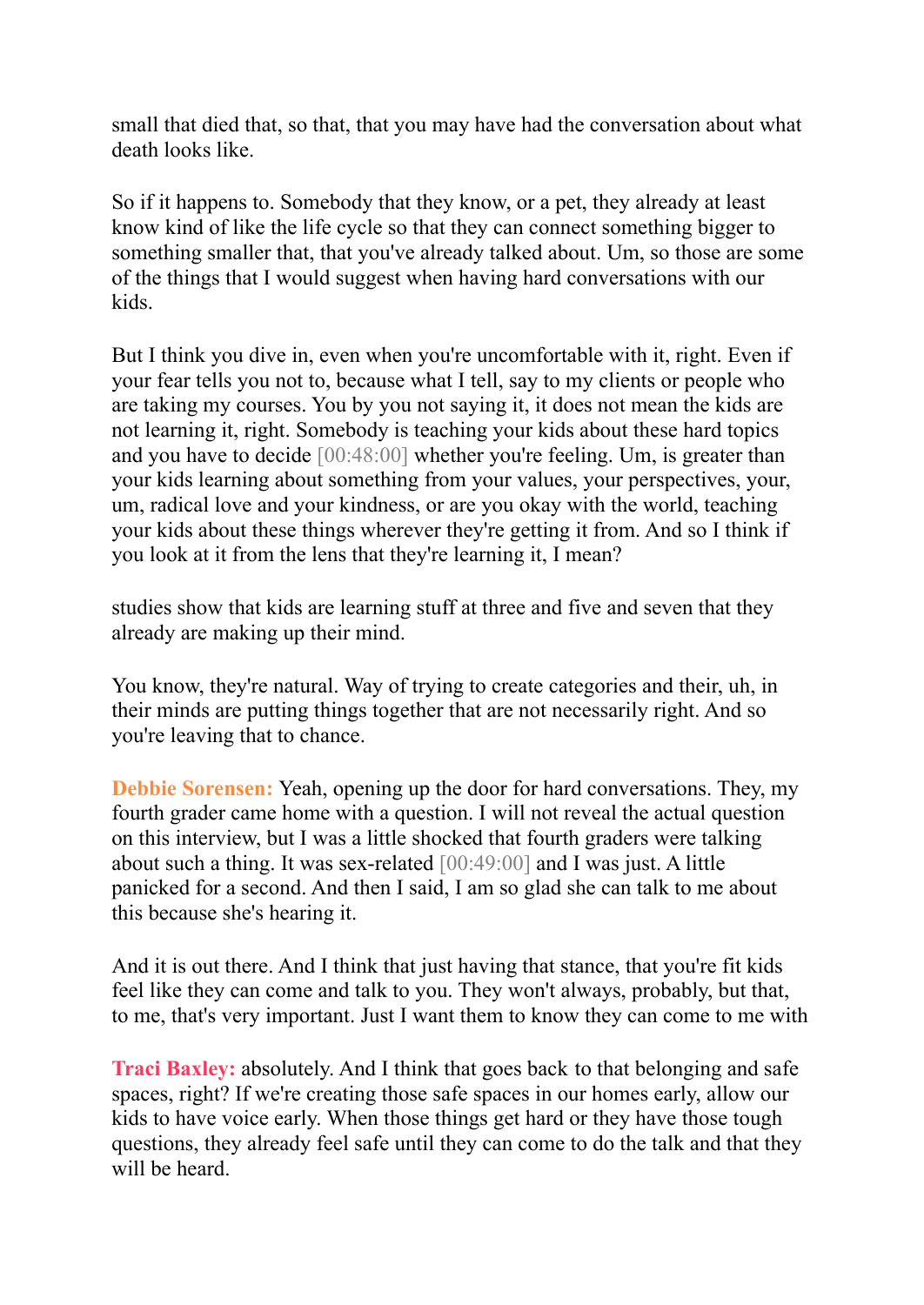small that died that, so that, that you may have had the conversation about what death looks like.

So if it happens to. Somebody that they know, or a pet, they already at least know kind of like the life cycle so that they can connect something bigger to something smaller that, that you've already talked about. Um, so those are some of the things that I would suggest when having hard conversations with our kids.

But I think you dive in, even when you're uncomfortable with it, right. Even if your fear tells you not to, because what I tell, say to my clients or people who are taking my courses. You by you not saying it, it does not mean the kids are not learning it, right. Somebody is teaching your kids about these hard topics and you have to decide [00:48:00] whether you're feeling. Um, is greater than your kids learning about something from your values, your perspectives, your, um, radical love and your kindness, or are you okay with the world, teaching your kids about these things wherever they're getting it from. And so I think if you look at it from the lens that they're learning it, I mean?

studies show that kids are learning stuff at three and five and seven that they already are making up their mind.

You know, they're natural. Way of trying to create categories and their, uh, in their minds are putting things together that are not necessarily right. And so you're leaving that to chance.

**Debbie Sorensen:** Yeah, opening up the door for hard conversations. They, my fourth grader came home with a question. I will not reveal the actual question on this interview, but I was a little shocked that fourth graders were talking about such a thing. It was sex-related [00:49:00] and I was just. A little panicked for a second. And then I said, I am so glad she can talk to me about this because she's hearing it.

And it is out there. And I think that just having that stance, that you're fit kids feel like they can come and talk to you. They won't always, probably, but that, to me, that's very important. Just I want them to know they can come to me with

**Traci Baxley:** absolutely. And I think that goes back to that belonging and safe spaces, right? If we're creating those safe spaces in our homes early, allow our kids to have voice early. When those things get hard or they have those tough questions, they already feel safe until they can come to do the talk and that they will be heard.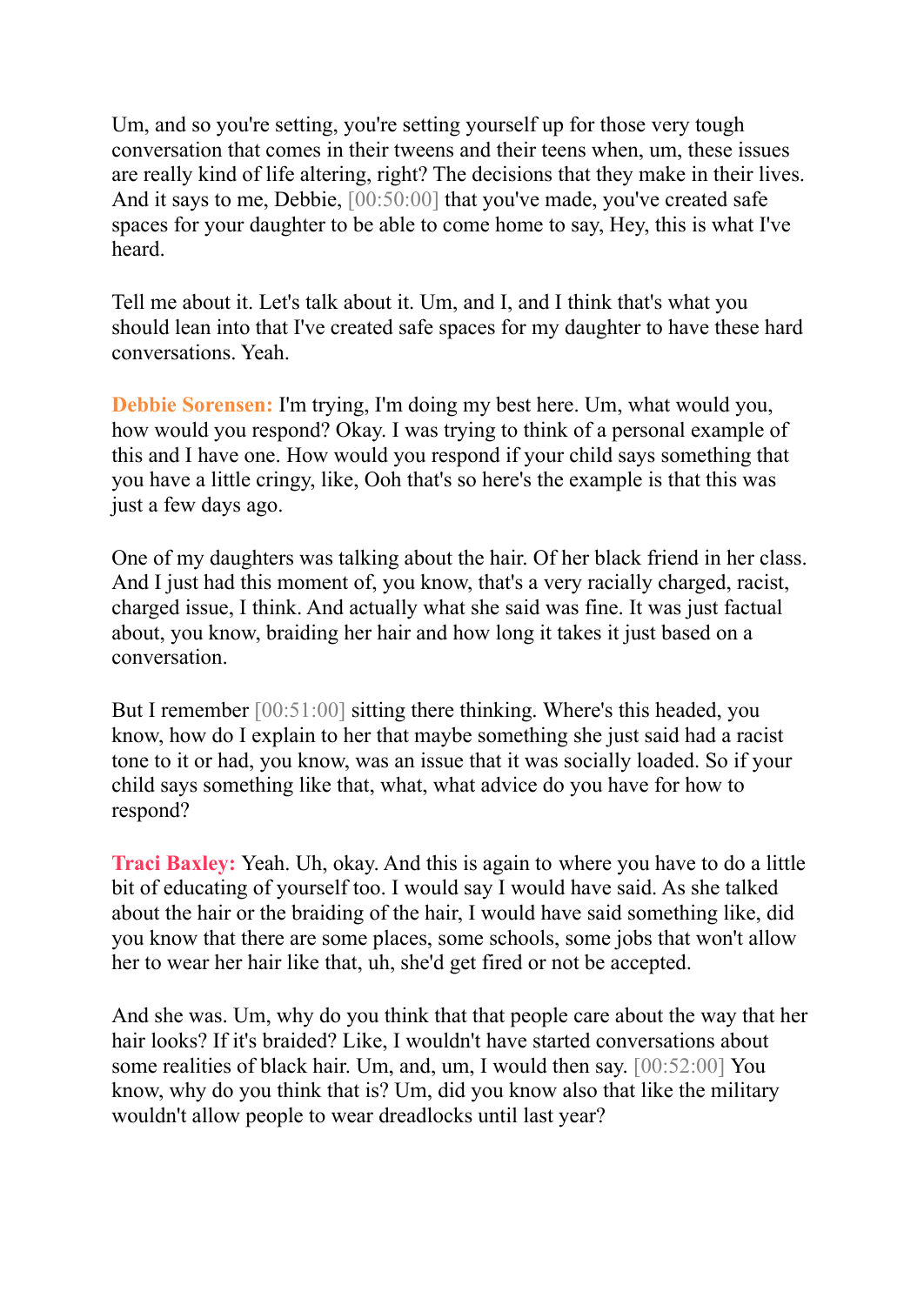Um, and so you're setting, you're setting yourself up for those very tough conversation that comes in their tweens and their teens when, um, these issues are really kind of life altering, right? The decisions that they make in their lives. And it says to me, Debbie, [00:50:00] that you've made, you've created safe spaces for your daughter to be able to come home to say, Hey, this is what I've heard.

Tell me about it. Let's talk about it. Um, and I, and I think that's what you should lean into that I've created safe spaces for my daughter to have these hard conversations. Yeah.

**Debbie Sorensen:** I'm trying, I'm doing my best here. Um, what would you, how would you respond? Okay. I was trying to think of a personal example of this and I have one. How would you respond if your child says something that you have a little cringy, like, Ooh that's so here's the example is that this was just a few days ago.

One of my daughters was talking about the hair. Of her black friend in her class. And I just had this moment of, you know, that's a very racially charged, racist, charged issue, I think. And actually what she said was fine. It was just factual about, you know, braiding her hair and how long it takes it just based on a conversation.

But I remember [00:51:00] sitting there thinking. Where's this headed, you know, how do I explain to her that maybe something she just said had a racist tone to it or had, you know, was an issue that it was socially loaded. So if your child says something like that, what, what advice do you have for how to respond?

**Traci Baxley:** Yeah. Uh, okay. And this is again to where you have to do a little bit of educating of yourself too. I would say I would have said. As she talked about the hair or the braiding of the hair, I would have said something like, did you know that there are some places, some schools, some jobs that won't allow her to wear her hair like that, uh, she'd get fired or not be accepted.

And she was. Um, why do you think that that people care about the way that her hair looks? If it's braided? Like, I wouldn't have started conversations about some realities of black hair. Um, and, um, I would then say. [00:52:00] You know, why do you think that is? Um, did you know also that like the military wouldn't allow people to wear dreadlocks until last year?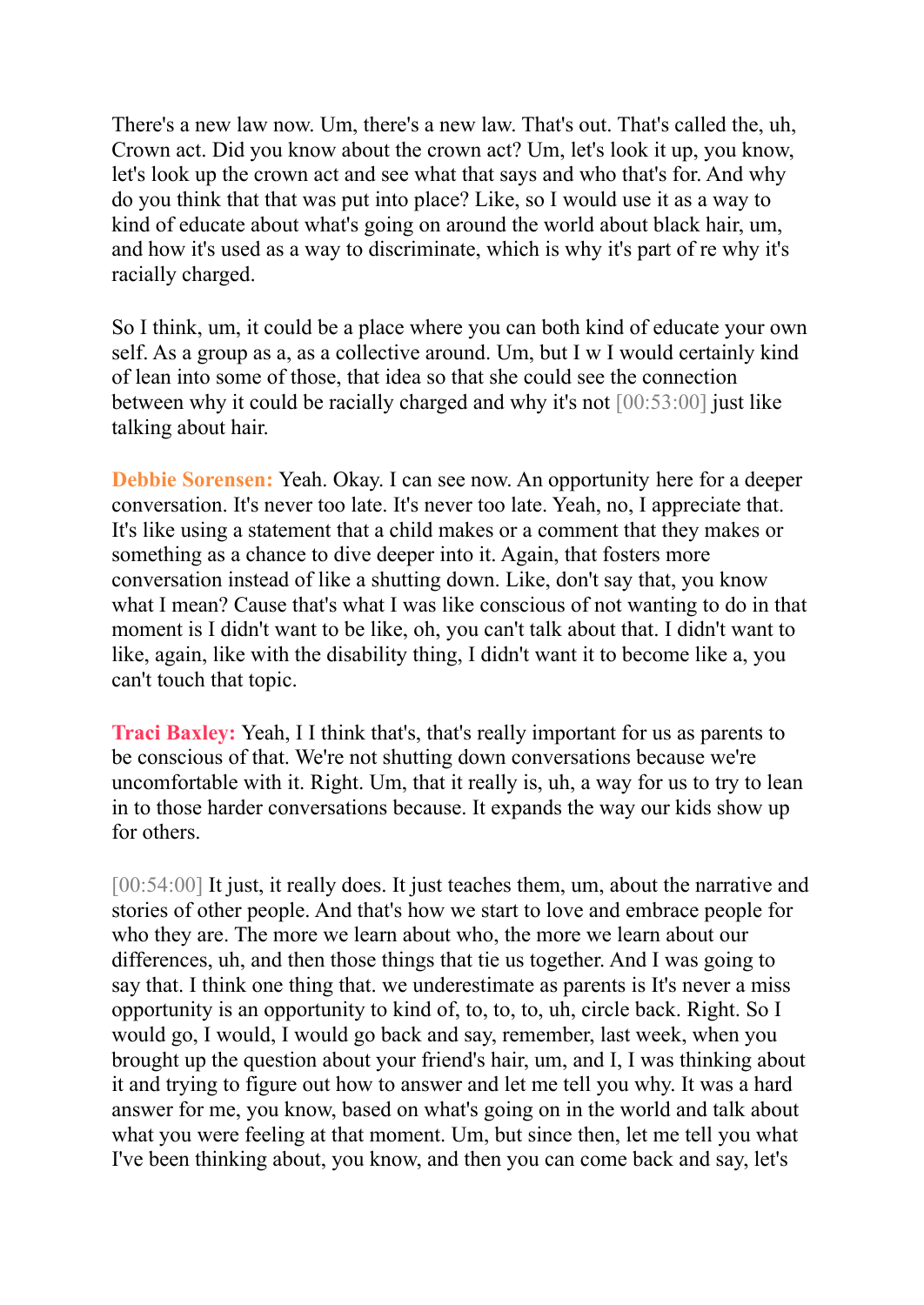There's a new law now. Um, there's a new law. That's out. That's called the, uh, Crown act. Did you know about the crown act? Um, let's look it up, you know, let's look up the crown act and see what that says and who that's for. And why do you think that that was put into place? Like, so I would use it as a way to kind of educate about what's going on around the world about black hair, um, and how it's used as a way to discriminate, which is why it's part of re why it's racially charged.

So I think, um, it could be a place where you can both kind of educate your own self. As a group as a, as a collective around. Um, but I w I would certainly kind of lean into some of those, that idea so that she could see the connection between why it could be racially charged and why it's not [00:53:00] just like talking about hair.

**Debbie Sorensen:** Yeah. Okay. I can see now. An opportunity here for a deeper conversation. It's never too late. It's never too late. Yeah, no, I appreciate that. It's like using a statement that a child makes or a comment that they makes or something as a chance to dive deeper into it. Again, that fosters more conversation instead of like a shutting down. Like, don't say that, you know what I mean? Cause that's what I was like conscious of not wanting to do in that moment is I didn't want to be like, oh, you can't talk about that. I didn't want to like, again, like with the disability thing, I didn't want it to become like a, you can't touch that topic.

**Traci Baxley:** Yeah, I I think that's, that's really important for us as parents to be conscious of that. We're not shutting down conversations because we're uncomfortable with it. Right. Um, that it really is, uh, a way for us to try to lean in to those harder conversations because. It expands the way our kids show up for others.

[00:54:00] It just, it really does. It just teaches them, um, about the narrative and stories of other people. And that's how we start to love and embrace people for who they are. The more we learn about who, the more we learn about our differences, uh, and then those things that tie us together. And I was going to say that. I think one thing that. we underestimate as parents is It's never a miss opportunity is an opportunity to kind of, to, to, to, uh, circle back. Right. So I would go, I would, I would go back and say, remember, last week, when you brought up the question about your friend's hair, um, and I, I was thinking about it and trying to figure out how to answer and let me tell you why. It was a hard answer for me, you know, based on what's going on in the world and talk about what you were feeling at that moment. Um, but since then, let me tell you what I've been thinking about, you know, and then you can come back and say, let's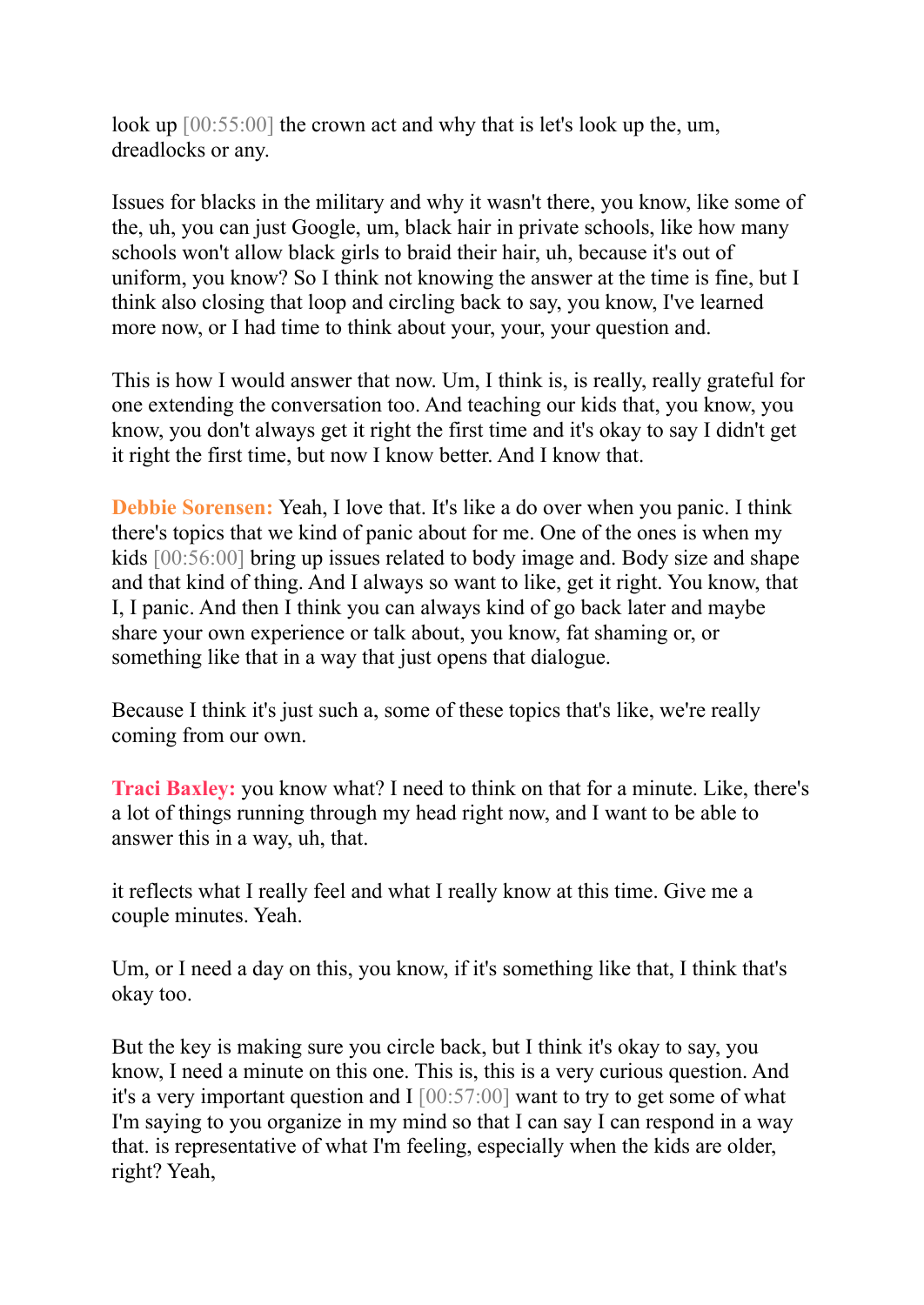look up [00:55:00] the crown act and why that is let's look up the, um, dreadlocks or any.

Issues for blacks in the military and why it wasn't there, you know, like some of the, uh, you can just Google, um, black hair in private schools, like how many schools won't allow black girls to braid their hair, uh, because it's out of uniform, you know? So I think not knowing the answer at the time is fine, but I think also closing that loop and circling back to say, you know, I've learned more now, or I had time to think about your, your, your question and.

This is how I would answer that now. Um, I think is, is really, really grateful for one extending the conversation too. And teaching our kids that, you know, you know, you don't always get it right the first time and it's okay to say I didn't get it right the first time, but now I know better. And I know that.

**Debbie Sorensen:** Yeah, I love that. It's like a do over when you panic. I think there's topics that we kind of panic about for me. One of the ones is when my kids [00:56:00] bring up issues related to body image and. Body size and shape and that kind of thing. And I always so want to like, get it right. You know, that I, I panic. And then I think you can always kind of go back later and maybe share your own experience or talk about, you know, fat shaming or, or something like that in a way that just opens that dialogue.

Because I think it's just such a, some of these topics that's like, we're really coming from our own.

**Traci Baxley:** you know what? I need to think on that for a minute. Like, there's a lot of things running through my head right now, and I want to be able to answer this in a way, uh, that.

it reflects what I really feel and what I really know at this time. Give me a couple minutes. Yeah.

Um, or I need a day on this, you know, if it's something like that, I think that's okay too.

But the key is making sure you circle back, but I think it's okay to say, you know, I need a minute on this one. This is, this is a very curious question. And it's a very important question and I [00:57:00] want to try to get some of what I'm saying to you organize in my mind so that I can say I can respond in a way that. is representative of what I'm feeling, especially when the kids are older, right? Yeah,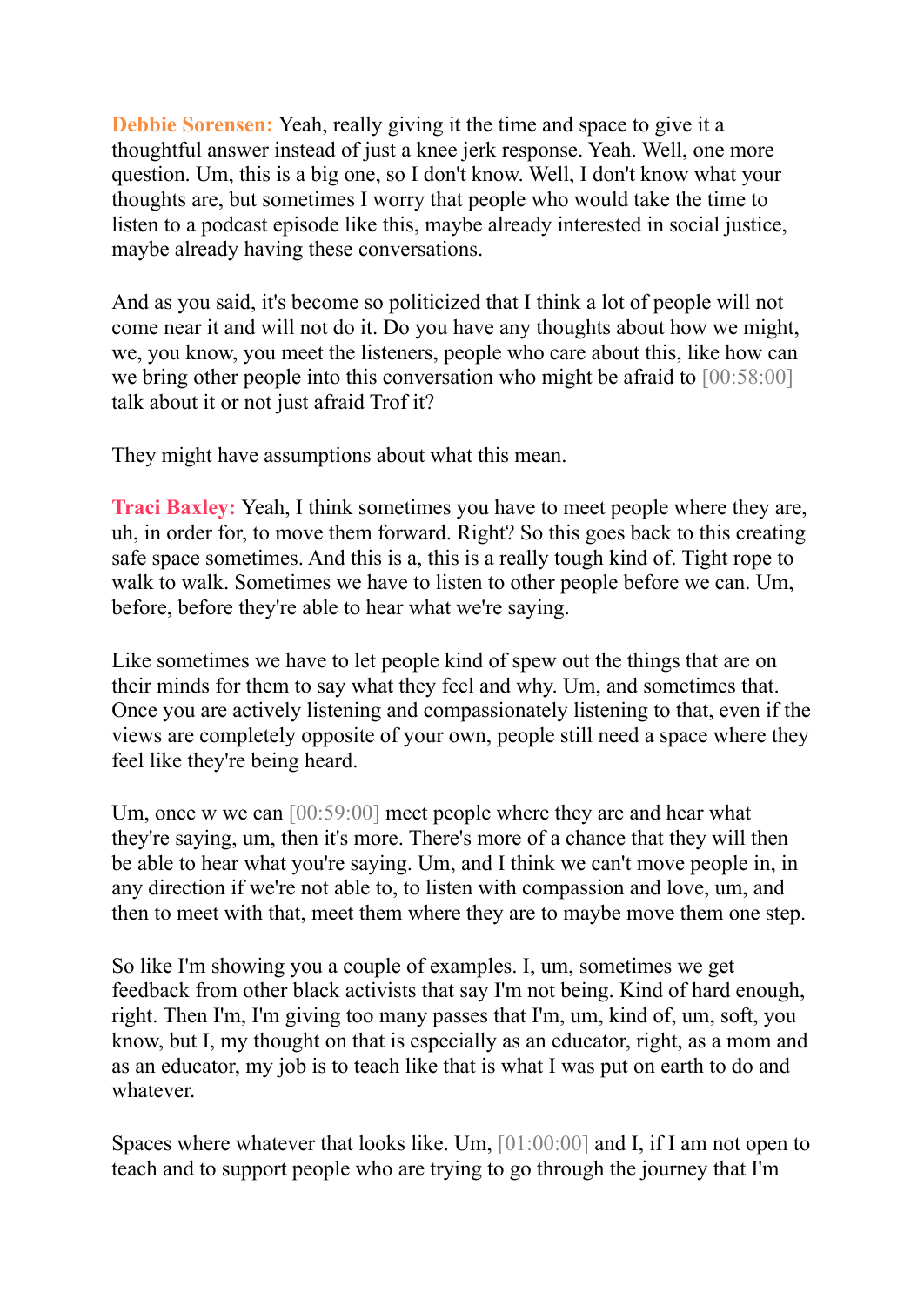**Debbie Sorensen:** Yeah, really giving it the time and space to give it a thoughtful answer instead of just a knee jerk response. Yeah. Well, one more question. Um, this is a big one, so I don't know. Well, I don't know what your thoughts are, but sometimes I worry that people who would take the time to listen to a podcast episode like this, maybe already interested in social justice, maybe already having these conversations.

And as you said, it's become so politicized that I think a lot of people will not come near it and will not do it. Do you have any thoughts about how we might, we, you know, you meet the listeners, people who care about this, like how can we bring other people into this conversation who might be afraid to [00:58:00] talk about it or not just afraid Trof it?

They might have assumptions about what this mean.

**Traci Baxley:** Yeah, I think sometimes you have to meet people where they are, uh, in order for, to move them forward. Right? So this goes back to this creating safe space sometimes. And this is a, this is a really tough kind of. Tight rope to walk to walk. Sometimes we have to listen to other people before we can. Um, before, before they're able to hear what we're saying.

Like sometimes we have to let people kind of spew out the things that are on their minds for them to say what they feel and why. Um, and sometimes that. Once you are actively listening and compassionately listening to that, even if the views are completely opposite of your own, people still need a space where they feel like they're being heard.

Um, once w we can [00:59:00] meet people where they are and hear what they're saying, um, then it's more. There's more of a chance that they will then be able to hear what you're saying. Um, and I think we can't move people in, in any direction if we're not able to, to listen with compassion and love, um, and then to meet with that, meet them where they are to maybe move them one step.

So like I'm showing you a couple of examples. I, um, sometimes we get feedback from other black activists that say I'm not being. Kind of hard enough, right. Then I'm, I'm giving too many passes that I'm, um, kind of, um, soft, you know, but I, my thought on that is especially as an educator, right, as a mom and as an educator, my job is to teach like that is what I was put on earth to do and whatever.

Spaces where whatever that looks like. Um, [01:00:00] and I, if I am not open to teach and to support people who are trying to go through the journey that I'm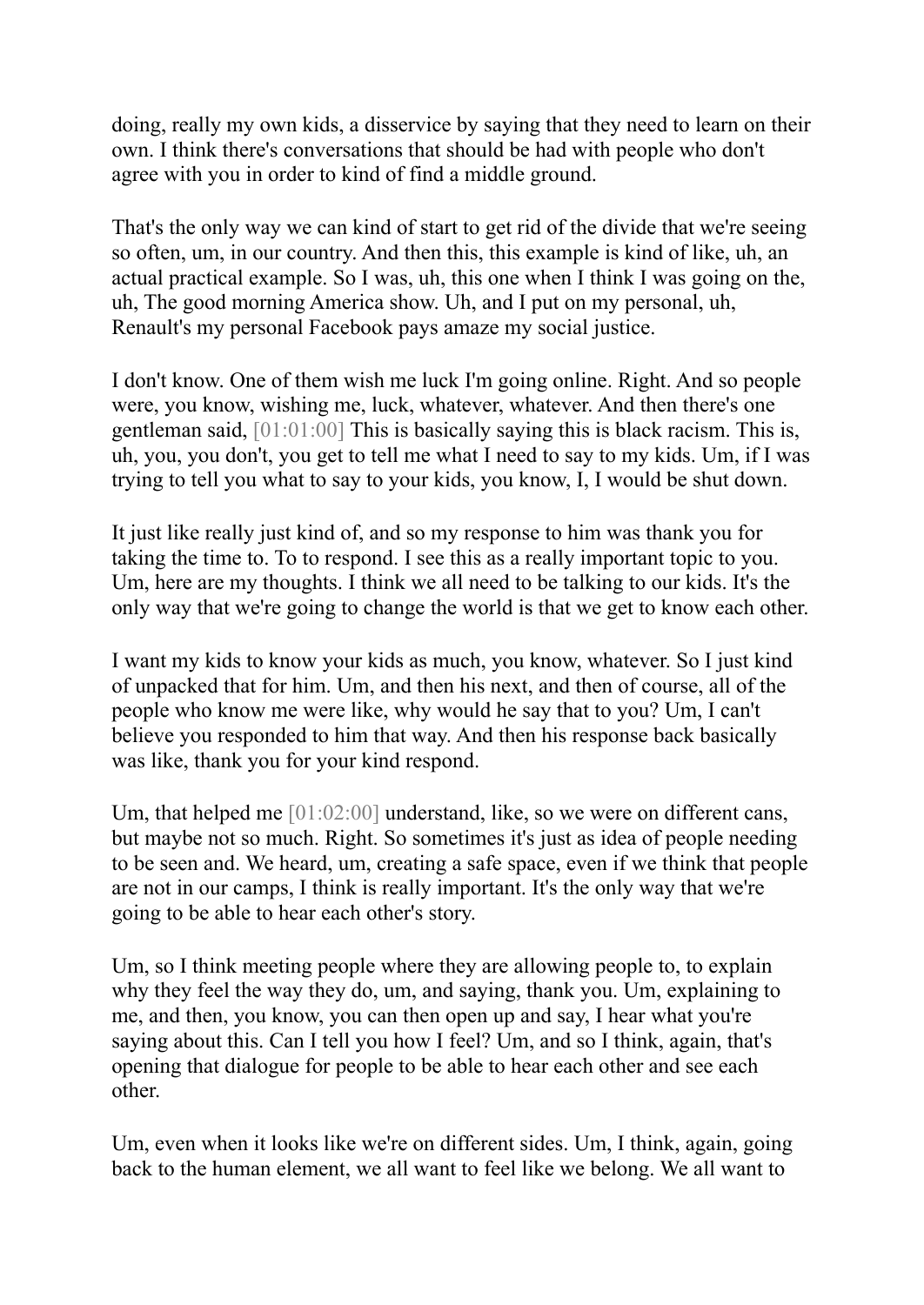doing, really my own kids, a disservice by saying that they need to learn on their own. I think there's conversations that should be had with people who don't agree with you in order to kind of find a middle ground.

That's the only way we can kind of start to get rid of the divide that we're seeing so often, um, in our country. And then this, this example is kind of like, uh, an actual practical example. So I was, uh, this one when I think I was going on the, uh, The good morning America show. Uh, and I put on my personal, uh, Renault's my personal Facebook pays amaze my social justice.

I don't know. One of them wish me luck I'm going online. Right. And so people were, you know, wishing me, luck, whatever, whatever. And then there's one gentleman said, [01:01:00] This is basically saying this is black racism. This is, uh, you, you don't, you get to tell me what I need to say to my kids. Um, if I was trying to tell you what to say to your kids, you know, I, I would be shut down.

It just like really just kind of, and so my response to him was thank you for taking the time to. To to respond. I see this as a really important topic to you. Um, here are my thoughts. I think we all need to be talking to our kids. It's the only way that we're going to change the world is that we get to know each other.

I want my kids to know your kids as much, you know, whatever. So I just kind of unpacked that for him. Um, and then his next, and then of course, all of the people who know me were like, why would he say that to you? Um, I can't believe you responded to him that way. And then his response back basically was like, thank you for your kind respond.

Um, that helped me [01:02:00] understand, like, so we were on different cans, but maybe not so much. Right. So sometimes it's just as idea of people needing to be seen and. We heard, um, creating a safe space, even if we think that people are not in our camps, I think is really important. It's the only way that we're going to be able to hear each other's story.

Um, so I think meeting people where they are allowing people to, to explain why they feel the way they do, um, and saying, thank you. Um, explaining to me, and then, you know, you can then open up and say, I hear what you're saying about this. Can I tell you how I feel? Um, and so I think, again, that's opening that dialogue for people to be able to hear each other and see each other.

Um, even when it looks like we're on different sides. Um, I think, again, going back to the human element, we all want to feel like we belong. We all want to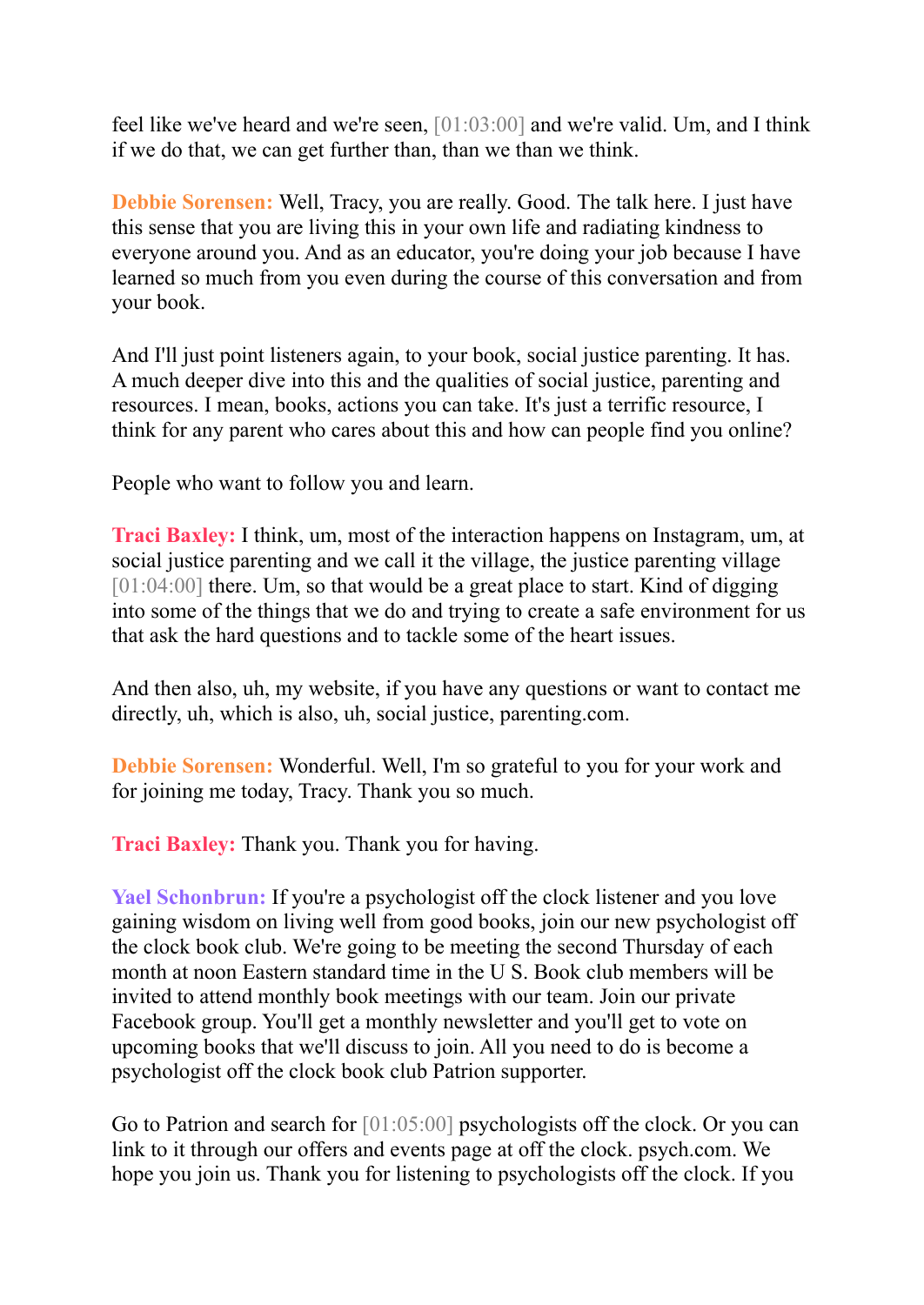feel like we've heard and we're seen, [01:03:00] and we're valid. Um, and I think if we do that, we can get further than, than we than we think.

**Debbie Sorensen:** Well, Tracy, you are really. Good. The talk here. I just have this sense that you are living this in your own life and radiating kindness to everyone around you. And as an educator, you're doing your job because I have learned so much from you even during the course of this conversation and from your book.

And I'll just point listeners again, to your book, social justice parenting. It has. A much deeper dive into this and the qualities of social justice, parenting and resources. I mean, books, actions you can take. It's just a terrific resource, I think for any parent who cares about this and how can people find you online?

People who want to follow you and learn.

**Traci Baxley:** I think, um, most of the interaction happens on Instagram, um, at social justice parenting and we call it the village, the justice parenting village [01:04:00] there. Um, so that would be a great place to start. Kind of digging into some of the things that we do and trying to create a safe environment for us that ask the hard questions and to tackle some of the heart issues.

And then also, uh, my website, if you have any questions or want to contact me directly, uh, which is also, uh, social justice, parenting.com.

**Debbie Sorensen:** Wonderful. Well, I'm so grateful to you for your work and for joining me today, Tracy. Thank you so much.

**Traci Baxley:** Thank you. Thank you for having.

**Yael Schonbrun:** If you're a psychologist off the clock listener and you love gaining wisdom on living well from good books, join our new psychologist off the clock book club. We're going to be meeting the second Thursday of each month at noon Eastern standard time in the U S. Book club members will be invited to attend monthly book meetings with our team. Join our private Facebook group. You'll get a monthly newsletter and you'll get to vote on upcoming books that we'll discuss to join. All you need to do is become a psychologist off the clock book club Patrion supporter.

Go to Patrion and search for [01:05:00] psychologists off the clock. Or you can link to it through our offers and events page at off the clock. psych.com. We hope you join us. Thank you for listening to psychologists off the clock. If you